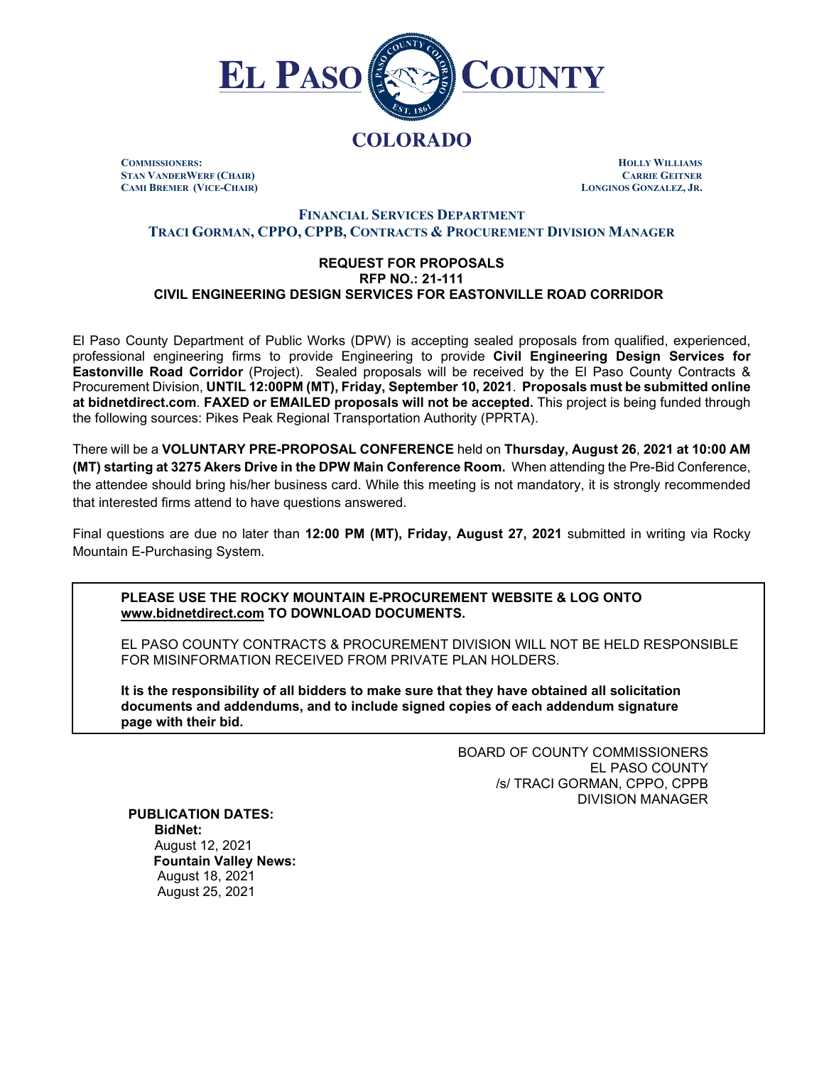

**COMMISSIONERS: HOLLY WILLIAMS STAN VANDERWERF (CHAIR) CARRIE GEITNER CAMI BREMER (VICE-CHAIR)** 

# **FINANCIAL SERVICES DEPARTMENT TRACI GORMAN, CPPO, CPPB, CONTRACTS & PROCUREMENT DIVISION MANAGER**

#### **REQUEST FOR PROPOSALS RFP NO.: 21-111 CIVIL ENGINEERING DESIGN SERVICES FOR EASTONVILLE ROAD CORRIDOR**

El Paso County Department of Public Works (DPW) is accepting sealed proposals from qualified, experienced, professional engineering firms to provide Engineering to provide **Civil Engineering Design Services for Eastonville Road Corridor** (Project). Sealed proposals will be received by the El Paso County Contracts & Procurement Division, **UNTIL 12:00PM (MT), Friday, September 10, 2021**. **Proposals must be submitted online at bidnetdirect.com**. **FAXED or EMAILED proposals will not be accepted.** This project is being funded through the following sources: Pikes Peak Regional Transportation Authority (PPRTA).

There will be a **VOLUNTARY PRE-PROPOSAL CONFERENCE** held on **Thursday, August 26**, **2021 at 10:00 AM (MT) starting at 3275 Akers Drive in the DPW Main Conference Room.** When attending the Pre-Bid Conference, the attendee should bring his/her business card. While this meeting is not mandatory, it is strongly recommended that interested firms attend to have questions answered.

Final questions are due no later than **12:00 PM (MT), Friday, August 27, 2021** submitted in writing via Rocky Mountain E-Purchasing System.

**PLEASE USE THE ROCKY MOUNTAIN E-PROCUREMENT WEBSITE & LOG ONTO www.bidnetdirect.com TO DOWNLOAD DOCUMENTS.**

EL PASO COUNTY CONTRACTS & PROCUREMENT DIVISION WILL NOT BE HELD RESPONSIBLE FOR MISINFORMATION RECEIVED FROM PRIVATE PLAN HOLDERS.

**It is the responsibility of all bidders to make sure that they have obtained all solicitation documents and addendums, and to include signed copies of each addendum signature page with their bid.**

> BOARD OF COUNTY COMMISSIONERS EL PASO COUNTY /s/ TRACI GORMAN, CPPO, CPPB DIVISION MANAGER

**PUBLICATION DATES: BidNet:** August 12, 2021 **Fountain Valley News:** August 18, 2021

August 25, 2021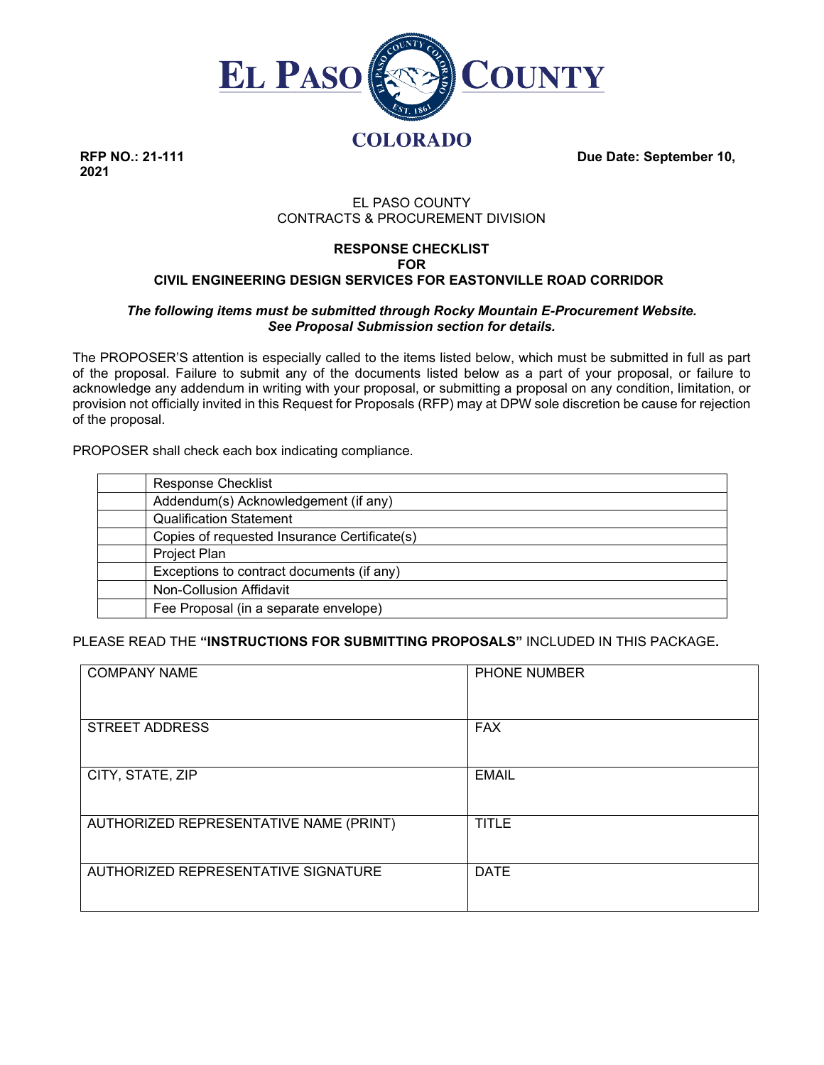

**2021**

**RFP NO.: 21-111 Due Date: September 10, Due Date: September 10,** 

# EL PASO COUNTY CONTRACTS & PROCUREMENT DIVISION

## **RESPONSE CHECKLIST FOR CIVIL ENGINEERING DESIGN SERVICES FOR EASTONVILLE ROAD CORRIDOR**

## *The following items must be submitted through Rocky Mountain E-Procurement Website. See Proposal Submission section for details.*

The PROPOSER'S attention is especially called to the items listed below, which must be submitted in full as part of the proposal. Failure to submit any of the documents listed below as a part of your proposal, or failure to acknowledge any addendum in writing with your proposal, or submitting a proposal on any condition, limitation, or provision not officially invited in this Request for Proposals (RFP) may at DPW sole discretion be cause for rejection of the proposal.

PROPOSER shall check each box indicating compliance.

| <b>Response Checklist</b>                    |
|----------------------------------------------|
| Addendum(s) Acknowledgement (if any)         |
| <b>Qualification Statement</b>               |
| Copies of requested Insurance Certificate(s) |
| Project Plan                                 |
| Exceptions to contract documents (if any)    |
| Non-Collusion Affidavit                      |
| Fee Proposal (in a separate envelope)        |
|                                              |

PLEASE READ THE **"INSTRUCTIONS FOR SUBMITTING PROPOSALS"** INCLUDED IN THIS PACKAGE**.**

| <b>COMPANY NAME</b>                    | <b>PHONE NUMBER</b> |
|----------------------------------------|---------------------|
| <b>STREET ADDRESS</b>                  | <b>FAX</b>          |
| CITY, STATE, ZIP                       | <b>EMAIL</b>        |
| AUTHORIZED REPRESENTATIVE NAME (PRINT) | <b>TITLE</b>        |
| AUTHORIZED REPRESENTATIVE SIGNATURE    | <b>DATE</b>         |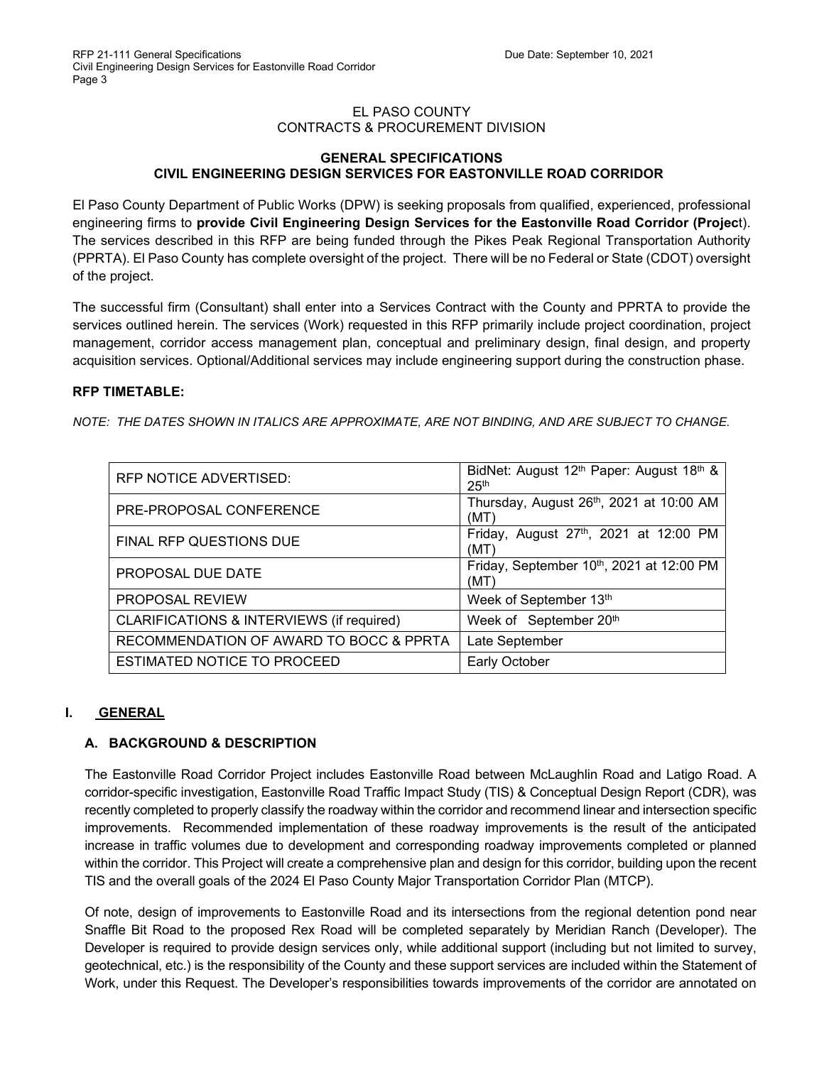## EL PASO COUNTY CONTRACTS & PROCUREMENT DIVISION

### **GENERAL SPECIFICATIONS CIVIL ENGINEERING DESIGN SERVICES FOR EASTONVILLE ROAD CORRIDOR**

El Paso County Department of Public Works (DPW) is seeking proposals from qualified, experienced, professional engineering firms to **provide Civil Engineering Design Services for the Eastonville Road Corridor (Projec**t). The services described in this RFP are being funded through the Pikes Peak Regional Transportation Authority (PPRTA). El Paso County has complete oversight of the project. There will be no Federal or State (CDOT) oversight of the project.

The successful firm (Consultant) shall enter into a Services Contract with the County and PPRTA to provide the services outlined herein. The services (Work) requested in this RFP primarily include project coordination, project management, corridor access management plan, conceptual and preliminary design, final design, and property acquisition services. Optional/Additional services may include engineering support during the construction phase.

# **RFP TIMETABLE:**

*NOTE: THE DATES SHOWN IN ITALICS ARE APPROXIMATE, ARE NOT BINDING, AND ARE SUBJECT TO CHANGE.*

| RFP NOTICE ADVERTISED:                    | BidNet: August 12 <sup>th</sup> Paper: August 18 <sup>th</sup> &<br>25 <sup>th</sup> |
|-------------------------------------------|--------------------------------------------------------------------------------------|
| PRE-PROPOSAL CONFERENCE                   | Thursday, August 26th, 2021 at 10:00 AM<br>(MT)                                      |
| FINAL RFP QUESTIONS DUE                   | Friday, August 27th, 2021 at 12:00 PM<br>(MT)                                        |
| PROPOSAL DUE DATE                         | Friday, September 10th, 2021 at 12:00 PM<br>(MT)                                     |
| <b>PROPOSAL REVIEW</b>                    | Week of September 13th                                                               |
| CLARIFICATIONS & INTERVIEWS (if required) | Week of September 20th                                                               |
| RECOMMENDATION OF AWARD TO BOCC & PPRTA   | Late September                                                                       |
| ESTIMATED NOTICE TO PROCEED               | <b>Early October</b>                                                                 |

# **I. GENERAL**

# **A. BACKGROUND & DESCRIPTION**

The Eastonville Road Corridor Project includes Eastonville Road between McLaughlin Road and Latigo Road. A corridor-specific investigation, Eastonville Road Traffic Impact Study (TIS) & Conceptual Design Report (CDR), was recently completed to properly classify the roadway within the corridor and recommend linear and intersection specific improvements. Recommended implementation of these roadway improvements is the result of the anticipated increase in traffic volumes due to development and corresponding roadway improvements completed or planned within the corridor. This Project will create a comprehensive plan and design for this corridor, building upon the recent TIS and the overall goals of the 2024 El Paso County Major Transportation Corridor Plan (MTCP).

Of note, design of improvements to Eastonville Road and its intersections from the regional detention pond near Snaffle Bit Road to the proposed Rex Road will be completed separately by Meridian Ranch (Developer). The Developer is required to provide design services only, while additional support (including but not limited to survey, geotechnical, etc.) is the responsibility of the County and these support services are included within the Statement of Work, under this Request. The Developer's responsibilities towards improvements of the corridor are annotated on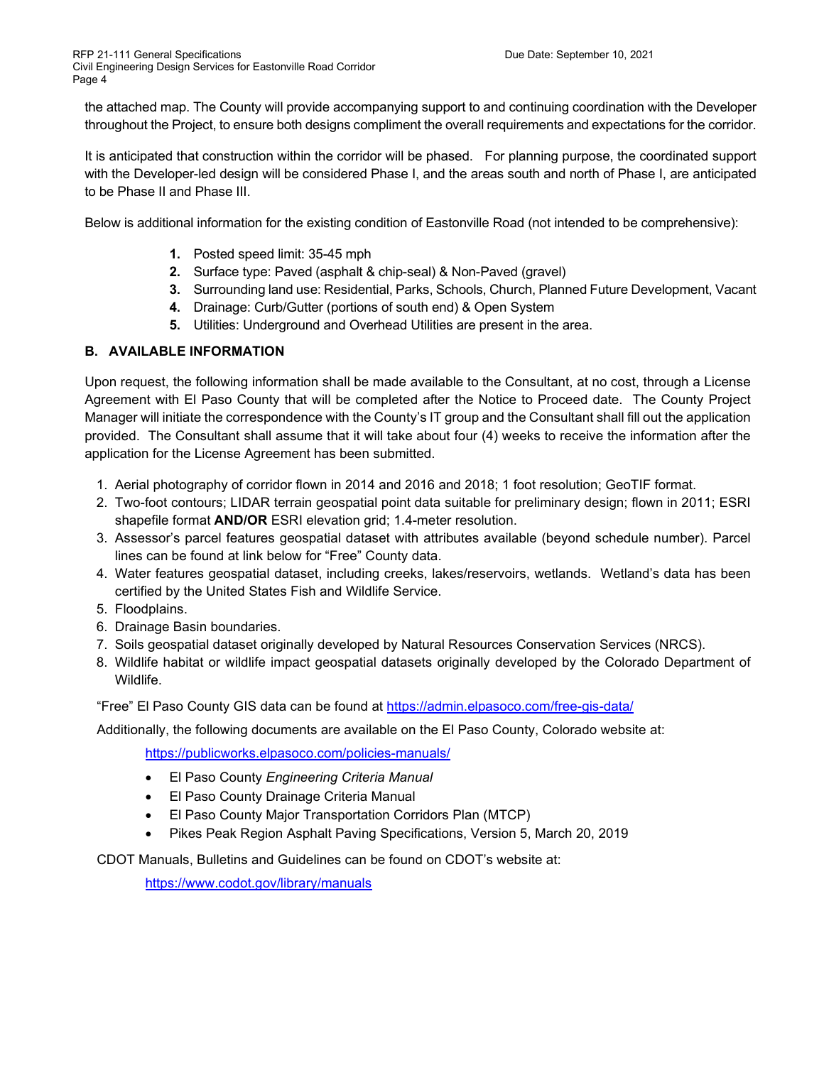the attached map. The County will provide accompanying support to and continuing coordination with the Developer throughout the Project, to ensure both designs compliment the overall requirements and expectations for the corridor.

It is anticipated that construction within the corridor will be phased. For planning purpose, the coordinated support with the Developer-led design will be considered Phase I, and the areas south and north of Phase I, are anticipated to be Phase II and Phase III.

Below is additional information for the existing condition of Eastonville Road (not intended to be comprehensive):

- **1.** Posted speed limit: 35-45 mph
- **2.** Surface type: Paved (asphalt & chip-seal) & Non-Paved (gravel)
- **3.** Surrounding land use: Residential, Parks, Schools, Church, Planned Future Development, Vacant
- **4.** Drainage: Curb/Gutter (portions of south end) & Open System
- **5.** Utilities: Underground and Overhead Utilities are present in the area.

# **B. AVAILABLE INFORMATION**

Upon request, the following information shall be made available to the Consultant, at no cost, through a License Agreement with El Paso County that will be completed after the Notice to Proceed date. The County Project Manager will initiate the correspondence with the County's IT group and the Consultant shall fill out the application provided. The Consultant shall assume that it will take about four (4) weeks to receive the information after the application for the License Agreement has been submitted.

- 1. Aerial photography of corridor flown in 2014 and 2016 and 2018; 1 foot resolution; GeoTIF format.
- 2. Two-foot contours; LIDAR terrain geospatial point data suitable for preliminary design; flown in 2011; ESRI shapefile format **AND/OR** ESRI elevation grid; 1.4-meter resolution.
- 3. Assessor's parcel features geospatial dataset with attributes available (beyond schedule number). Parcel lines can be found at link below for "Free" County data.
- 4. Water features geospatial dataset, including creeks, lakes/reservoirs, wetlands. Wetland's data has been certified by the United States Fish and Wildlife Service.
- 5. Floodplains.
- 6. Drainage Basin boundaries.
- 7. Soils geospatial dataset originally developed by Natural Resources Conservation Services (NRCS).
- 8. Wildlife habitat or wildlife impact geospatial datasets originally developed by the Colorado Department of Wildlife.

"Free" El Paso County GIS data can be found at<https://admin.elpasoco.com/free-gis-data/>

Additionally, the following documents are available on the El Paso County, Colorado website at:

<https://publicworks.elpasoco.com/policies-manuals/>

- El Paso County *Engineering Criteria Manual*
- El Paso County Drainage Criteria Manual
- El Paso County Major Transportation Corridors Plan (MTCP)
- Pikes Peak Region Asphalt Paving Specifications, Version 5, March 20, 2019

CDOT Manuals, Bulletins and Guidelines can be found on CDOT's website at:

<https://www.codot.gov/library/manuals>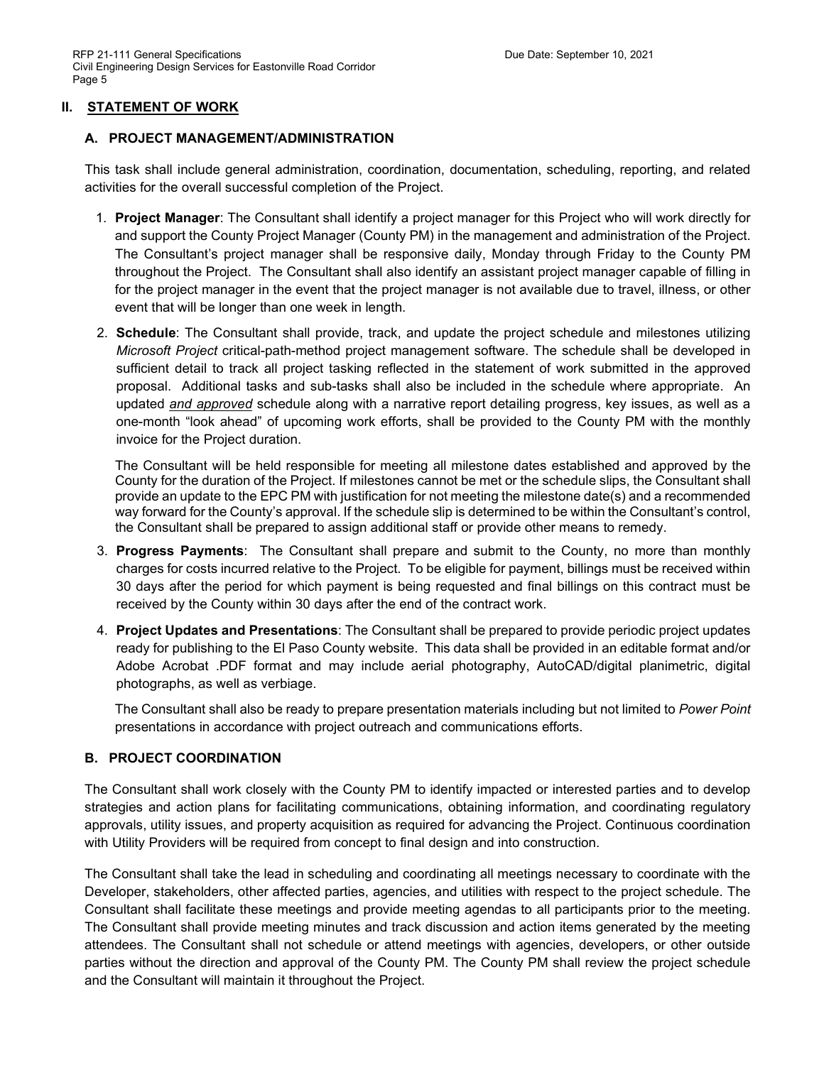## **II. STATEMENT OF WORK**

### **A. PROJECT MANAGEMENT/ADMINISTRATION**

This task shall include general administration, coordination, documentation, scheduling, reporting, and related activities for the overall successful completion of the Project.

- 1. **Project Manager**: The Consultant shall identify a project manager for this Project who will work directly for and support the County Project Manager (County PM) in the management and administration of the Project. The Consultant's project manager shall be responsive daily, Monday through Friday to the County PM throughout the Project. The Consultant shall also identify an assistant project manager capable of filling in for the project manager in the event that the project manager is not available due to travel, illness, or other event that will be longer than one week in length.
- 2. **Schedule**: The Consultant shall provide, track, and update the project schedule and milestones utilizing *Microsoft Project* critical-path-method project management software. The schedule shall be developed in sufficient detail to track all project tasking reflected in the statement of work submitted in the approved proposal. Additional tasks and sub-tasks shall also be included in the schedule where appropriate. An updated *and approved* schedule along with a narrative report detailing progress, key issues, as well as a one-month "look ahead" of upcoming work efforts, shall be provided to the County PM with the monthly invoice for the Project duration.

The Consultant will be held responsible for meeting all milestone dates established and approved by the County for the duration of the Project. If milestones cannot be met or the schedule slips, the Consultant shall provide an update to the EPC PM with justification for not meeting the milestone date(s) and a recommended way forward for the County's approval. If the schedule slip is determined to be within the Consultant's control, the Consultant shall be prepared to assign additional staff or provide other means to remedy.

- 3. **Progress Payments**: The Consultant shall prepare and submit to the County, no more than monthly charges for costs incurred relative to the Project. To be eligible for payment, billings must be received within 30 days after the period for which payment is being requested and final billings on this contract must be received by the County within 30 days after the end of the contract work.
- 4. **Project Updates and Presentations**: The Consultant shall be prepared to provide periodic project updates ready for publishing to the El Paso County website. This data shall be provided in an editable format and/or Adobe Acrobat .PDF format and may include aerial photography, AutoCAD/digital planimetric, digital photographs, as well as verbiage.

The Consultant shall also be ready to prepare presentation materials including but not limited to *Power Point* presentations in accordance with project outreach and communications efforts.

# **B. PROJECT COORDINATION**

The Consultant shall work closely with the County PM to identify impacted or interested parties and to develop strategies and action plans for facilitating communications, obtaining information, and coordinating regulatory approvals, utility issues, and property acquisition as required for advancing the Project. Continuous coordination with Utility Providers will be required from concept to final design and into construction.

The Consultant shall take the lead in scheduling and coordinating all meetings necessary to coordinate with the Developer, stakeholders, other affected parties, agencies, and utilities with respect to the project schedule. The Consultant shall facilitate these meetings and provide meeting agendas to all participants prior to the meeting. The Consultant shall provide meeting minutes and track discussion and action items generated by the meeting attendees. The Consultant shall not schedule or attend meetings with agencies, developers, or other outside parties without the direction and approval of the County PM. The County PM shall review the project schedule and the Consultant will maintain it throughout the Project.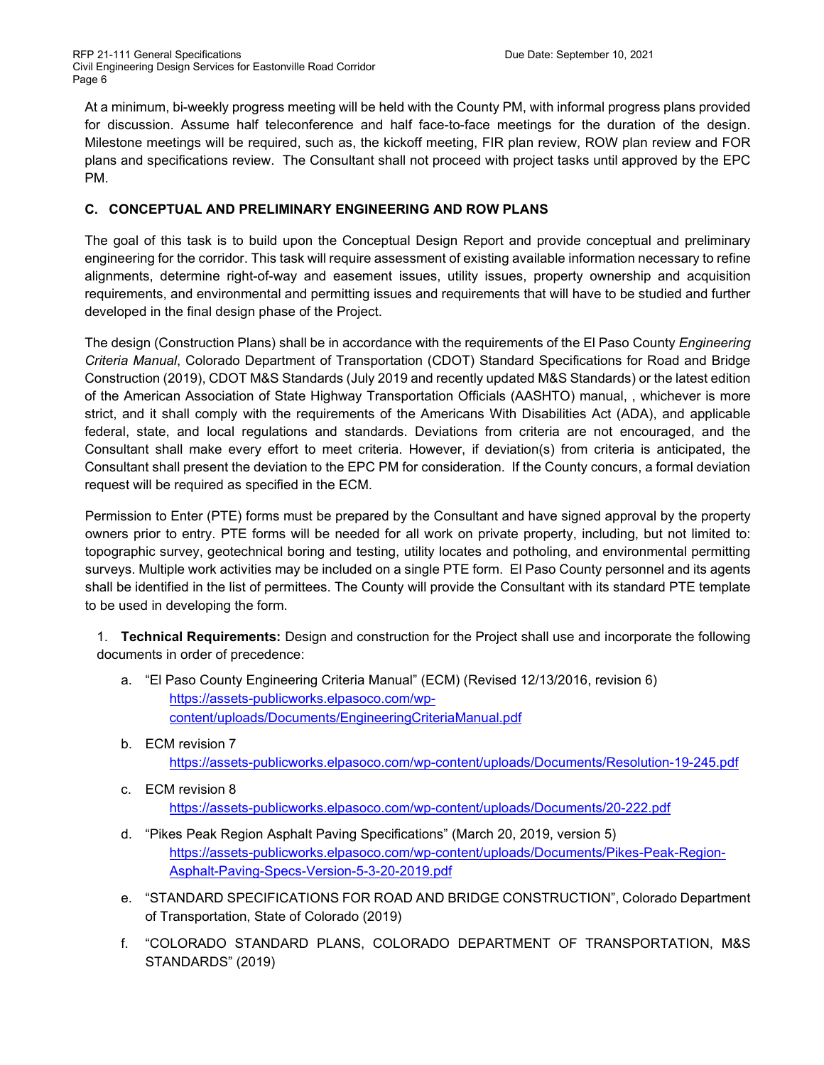At a minimum, bi-weekly progress meeting will be held with the County PM, with informal progress plans provided for discussion. Assume half teleconference and half face-to-face meetings for the duration of the design. Milestone meetings will be required, such as, the kickoff meeting, FIR plan review, ROW plan review and FOR plans and specifications review. The Consultant shall not proceed with project tasks until approved by the EPC PM.

# **C. CONCEPTUAL AND PRELIMINARY ENGINEERING AND ROW PLANS**

The goal of this task is to build upon the Conceptual Design Report and provide conceptual and preliminary engineering for the corridor. This task will require assessment of existing available information necessary to refine alignments, determine right-of-way and easement issues, utility issues, property ownership and acquisition requirements, and environmental and permitting issues and requirements that will have to be studied and further developed in the final design phase of the Project.

The design (Construction Plans) shall be in accordance with the requirements of the El Paso County *Engineering Criteria Manual*, Colorado Department of Transportation (CDOT) Standard Specifications for Road and Bridge Construction (2019), CDOT M&S Standards (July 2019 and recently updated M&S Standards) or the latest edition of the American Association of State Highway Transportation Officials (AASHTO) manual, , whichever is more strict, and it shall comply with the requirements of the Americans With Disabilities Act (ADA), and applicable federal, state, and local regulations and standards. Deviations from criteria are not encouraged, and the Consultant shall make every effort to meet criteria. However, if deviation(s) from criteria is anticipated, the Consultant shall present the deviation to the EPC PM for consideration. If the County concurs, a formal deviation request will be required as specified in the ECM.

Permission to Enter (PTE) forms must be prepared by the Consultant and have signed approval by the property owners prior to entry. PTE forms will be needed for all work on private property, including, but not limited to: topographic survey, geotechnical boring and testing, utility locates and potholing, and environmental permitting surveys. Multiple work activities may be included on a single PTE form. El Paso County personnel and its agents shall be identified in the list of permittees. The County will provide the Consultant with its standard PTE template to be used in developing the form.

1. **Technical Requirements:** Design and construction for the Project shall use and incorporate the following documents in order of precedence:

- a. "El Paso County Engineering Criteria Manual" (ECM) (Revised 12/13/2016, revision 6) [https://assets-publicworks.elpasoco.com/wp](https://assets-publicworks.elpasoco.com/wp-content/uploads/Documents/EngineeringCriteriaManual.pdf)[content/uploads/Documents/EngineeringCriteriaManual.pdf](https://assets-publicworks.elpasoco.com/wp-content/uploads/Documents/EngineeringCriteriaManual.pdf)
- b. ECM revision 7 <https://assets-publicworks.elpasoco.com/wp-content/uploads/Documents/Resolution-19-245.pdf>
- c. ECM revision 8 <https://assets-publicworks.elpasoco.com/wp-content/uploads/Documents/20-222.pdf>
- d. "Pikes Peak Region Asphalt Paving Specifications" (March 20, 2019, version 5) [https://assets-publicworks.elpasoco.com/wp-content/uploads/Documents/Pikes-Peak-Region-](https://assets-publicworks.elpasoco.com/wp-content/uploads/Documents/Pikes-Peak-Region-Asphalt-Paving-Specs-Version-5-3-20-2019.pdf)[Asphalt-Paving-Specs-Version-5-3-20-2019.pdf](https://assets-publicworks.elpasoco.com/wp-content/uploads/Documents/Pikes-Peak-Region-Asphalt-Paving-Specs-Version-5-3-20-2019.pdf)
- e. "STANDARD SPECIFICATIONS FOR ROAD AND BRIDGE CONSTRUCTION", Colorado Department of Transportation, State of Colorado (2019)
- f. "COLORADO STANDARD PLANS, COLORADO DEPARTMENT OF TRANSPORTATION, M&S STANDARDS" (2019)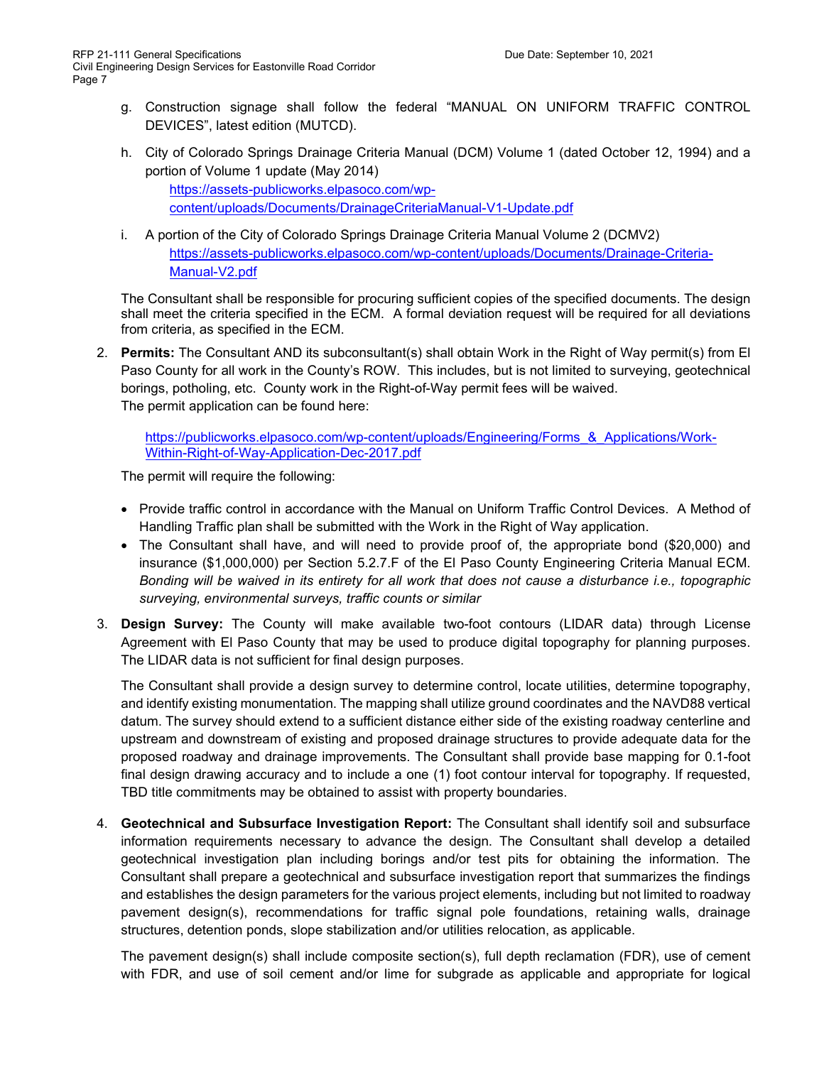- g. Construction signage shall follow the federal "MANUAL ON UNIFORM TRAFFIC CONTROL DEVICES", latest edition (MUTCD).
- h. City of Colorado Springs Drainage Criteria Manual (DCM) Volume 1 (dated October 12, 1994) and a portion of Volume 1 update (May 2014)

[https://assets-publicworks.elpasoco.com/wp](https://assets-publicworks.elpasoco.com/wp-content/uploads/Documents/DrainageCriteriaManual-V1-Update.pdf)[content/uploads/Documents/DrainageCriteriaManual-V1-Update.pdf](https://assets-publicworks.elpasoco.com/wp-content/uploads/Documents/DrainageCriteriaManual-V1-Update.pdf)

i. A portion of the City of Colorado Springs Drainage Criteria Manual Volume 2 (DCMV2) [https://assets-publicworks.elpasoco.com/wp-content/uploads/Documents/Drainage-Criteria-](https://assets-publicworks.elpasoco.com/wp-content/uploads/Documents/Drainage-Criteria-Manual-V2.pdf)[Manual-V2.pdf](https://assets-publicworks.elpasoco.com/wp-content/uploads/Documents/Drainage-Criteria-Manual-V2.pdf)

The Consultant shall be responsible for procuring sufficient copies of the specified documents. The design shall meet the criteria specified in the ECM. A formal deviation request will be required for all deviations from criteria, as specified in the ECM.

2. **Permits:** The Consultant AND its subconsultant(s) shall obtain Work in the Right of Way permit(s) from El Paso County for all work in the County's ROW. This includes, but is not limited to surveying, geotechnical borings, potholing, etc. County work in the Right-of-Way permit fees will be waived. The permit application can be found here:

[https://publicworks.elpasoco.com/wp-content/uploads/Engineering/Forms\\_&\\_Applications/Work-](https://publicworks.elpasoco.com/wp-content/uploads/Engineering/Forms_&_Applications/Work-Within-Right-of-Way-Application-Dec-2017.pdf)[Within-Right-of-Way-Application-Dec-2017.pdf](https://publicworks.elpasoco.com/wp-content/uploads/Engineering/Forms_&_Applications/Work-Within-Right-of-Way-Application-Dec-2017.pdf)

The permit will require the following:

- Provide traffic control in accordance with the Manual on Uniform Traffic Control Devices. A Method of Handling Traffic plan shall be submitted with the Work in the Right of Way application.
- The Consultant shall have, and will need to provide proof of, the appropriate bond (\$20,000) and insurance (\$1,000,000) per Section 5.2.7.F of the El Paso County Engineering Criteria Manual ECM. *Bonding will be waived in its entirety for all work that does not cause a disturbance i.e., topographic surveying, environmental surveys, traffic counts or similar*
- 3. **Design Survey:** The County will make available two-foot contours (LIDAR data) through License Agreement with El Paso County that may be used to produce digital topography for planning purposes. The LIDAR data is not sufficient for final design purposes.

The Consultant shall provide a design survey to determine control, locate utilities, determine topography, and identify existing monumentation. The mapping shall utilize ground coordinates and the NAVD88 vertical datum. The survey should extend to a sufficient distance either side of the existing roadway centerline and upstream and downstream of existing and proposed drainage structures to provide adequate data for the proposed roadway and drainage improvements. The Consultant shall provide base mapping for 0.1-foot final design drawing accuracy and to include a one (1) foot contour interval for topography. If requested, TBD title commitments may be obtained to assist with property boundaries.

4. **Geotechnical and Subsurface Investigation Report:** The Consultant shall identify soil and subsurface information requirements necessary to advance the design. The Consultant shall develop a detailed geotechnical investigation plan including borings and/or test pits for obtaining the information. The Consultant shall prepare a geotechnical and subsurface investigation report that summarizes the findings and establishes the design parameters for the various project elements, including but not limited to roadway pavement design(s), recommendations for traffic signal pole foundations, retaining walls, drainage structures, detention ponds, slope stabilization and/or utilities relocation, as applicable.

The pavement design(s) shall include composite section(s), full depth reclamation (FDR), use of cement with FDR, and use of soil cement and/or lime for subgrade as applicable and appropriate for logical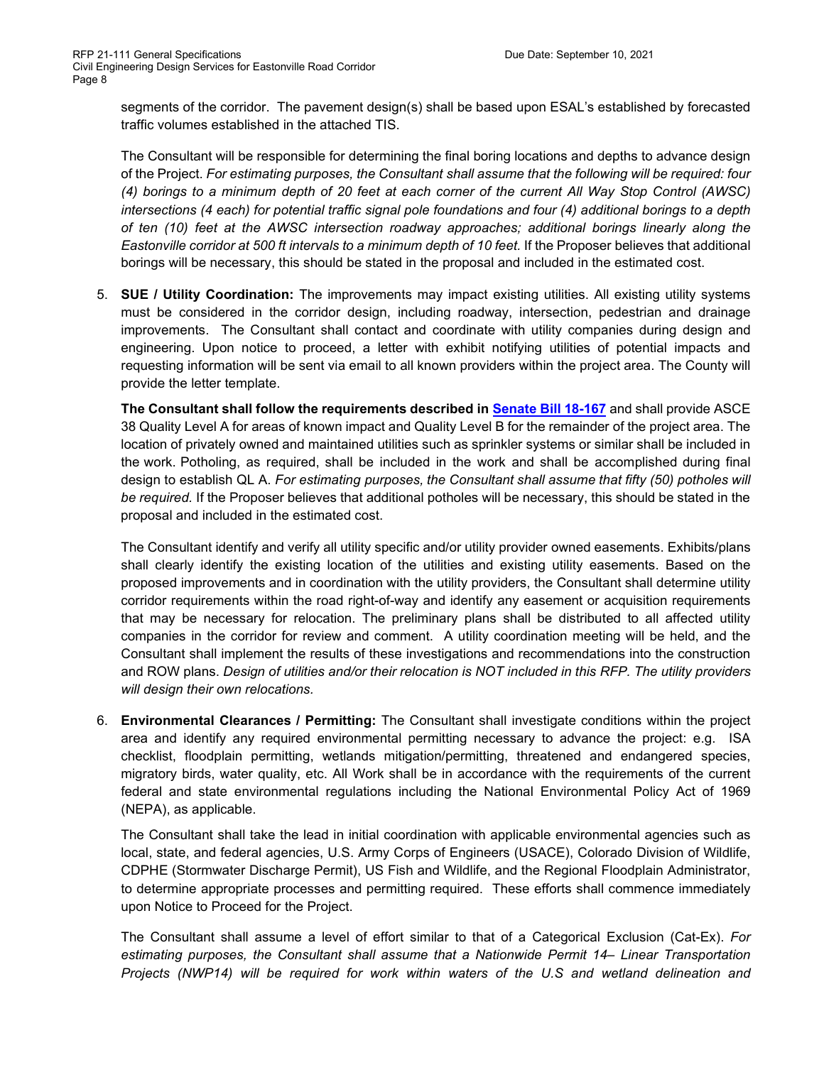segments of the corridor. The pavement design(s) shall be based upon ESAL's established by forecasted traffic volumes established in the attached TIS.

The Consultant will be responsible for determining the final boring locations and depths to advance design of the Project. *For estimating purposes, the Consultant shall assume that the following will be required: four (4) borings to a minimum depth of 20 feet at each corner of the current All Way Stop Control (AWSC) intersections (4 each) for potential traffic signal pole foundations and four (4) additional borings to a depth of ten (10) feet at the AWSC intersection roadway approaches; additional borings linearly along the Eastonville corridor at 500 ft intervals to a minimum depth of 10 feet.* If the Proposer believes that additional borings will be necessary, this should be stated in the proposal and included in the estimated cost.

5. **SUE / Utility Coordination:** The improvements may impact existing utilities. All existing utility systems must be considered in the corridor design, including roadway, intersection, pedestrian and drainage improvements. The Consultant shall contact and coordinate with utility companies during design and engineering. Upon notice to proceed, a letter with exhibit notifying utilities of potential impacts and requesting information will be sent via email to all known providers within the project area. The County will provide the letter template.

**The Consultant shall follow the requirements described in [Senate](http://leg.colorado.gov/sites/default/files/documents/2018A/bills/2018a_167_enr.pdf) Bill 18-167** and shall provide ASCE 38 Quality Level A for areas of known impact and Quality Level B for the remainder of the project area. The location of privately owned and maintained utilities such as sprinkler systems or similar shall be included in the work. Potholing, as required, shall be included in the work and shall be accomplished during final design to establish QL A. *For estimating purposes, the Consultant shall assume that fifty (50) potholes will be required.* If the Proposer believes that additional potholes will be necessary, this should be stated in the proposal and included in the estimated cost.

The Consultant identify and verify all utility specific and/or utility provider owned easements. Exhibits/plans shall clearly identify the existing location of the utilities and existing utility easements. Based on the proposed improvements and in coordination with the utility providers, the Consultant shall determine utility corridor requirements within the road right-of-way and identify any easement or acquisition requirements that may be necessary for relocation. The preliminary plans shall be distributed to all affected utility companies in the corridor for review and comment. A utility coordination meeting will be held, and the Consultant shall implement the results of these investigations and recommendations into the construction and ROW plans. *Design of utilities and/or their relocation is NOT included in this RFP. The utility providers will design their own relocations.*

6. **Environmental Clearances / Permitting:** The Consultant shall investigate conditions within the project area and identify any required environmental permitting necessary to advance the project: e.g. ISA checklist, floodplain permitting, wetlands mitigation/permitting, threatened and endangered species, migratory birds, water quality, etc. All Work shall be in accordance with the requirements of the current federal and state environmental regulations including the National Environmental Policy Act of 1969 (NEPA), as applicable.

The Consultant shall take the lead in initial coordination with applicable environmental agencies such as local, state, and federal agencies, U.S. Army Corps of Engineers (USACE), Colorado Division of Wildlife, CDPHE (Stormwater Discharge Permit), US Fish and Wildlife, and the Regional Floodplain Administrator, to determine appropriate processes and permitting required. These efforts shall commence immediately upon Notice to Proceed for the Project.

The Consultant shall assume a level of effort similar to that of a Categorical Exclusion (Cat-Ex). *For estimating purposes, the Consultant shall assume that a Nationwide Permit 14– Linear Transportation Projects (NWP14) will be required for work within waters of the U.S and wetland delineation and*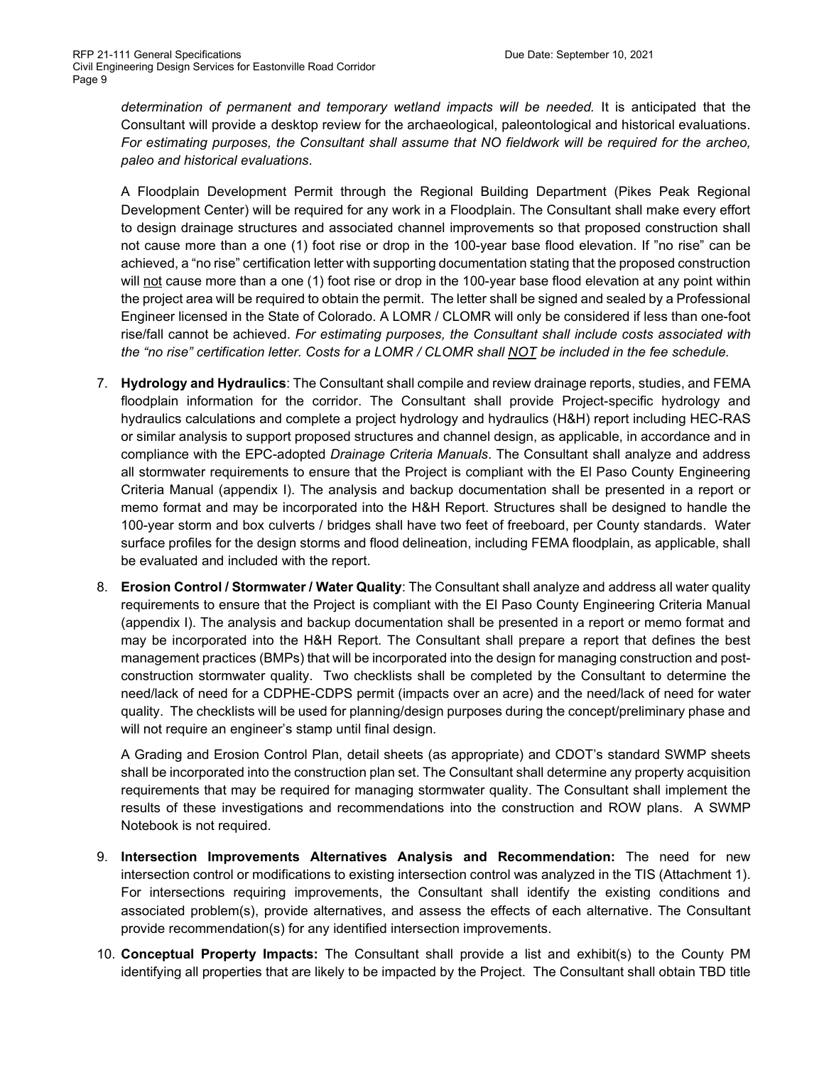*determination of permanent and temporary wetland impacts will be needed.* It is anticipated that the Consultant will provide a desktop review for the archaeological, paleontological and historical evaluations. For estimating purposes, the Consultant shall assume that NO fieldwork will be required for the archeo, *paleo and historical evaluations*.

A Floodplain Development Permit through the Regional Building Department (Pikes Peak Regional Development Center) will be required for any work in a Floodplain. The Consultant shall make every effort to design drainage structures and associated channel improvements so that proposed construction shall not cause more than a one (1) foot rise or drop in the 100-year base flood elevation. If "no rise" can be achieved, a "no rise" certification letter with supporting documentation stating that the proposed construction will not cause more than a one (1) foot rise or drop in the 100-year base flood elevation at any point within the project area will be required to obtain the permit. The letter shall be signed and sealed by a Professional Engineer licensed in the State of Colorado. A LOMR / CLOMR will only be considered if less than one-foot rise/fall cannot be achieved. *For estimating purposes, the Consultant shall include costs associated with the "no rise" certification letter. Costs for a LOMR / CLOMR shall NOT be included in the fee schedule.*

- 7. **Hydrology and Hydraulics**: The Consultant shall compile and review drainage reports, studies, and FEMA floodplain information for the corridor. The Consultant shall provide Project-specific hydrology and hydraulics calculations and complete a project hydrology and hydraulics (H&H) report including HEC-RAS or similar analysis to support proposed structures and channel design, as applicable, in accordance and in compliance with the EPC-adopted *Drainage Criteria Manuals*. The Consultant shall analyze and address all stormwater requirements to ensure that the Project is compliant with the El Paso County Engineering Criteria Manual (appendix I). The analysis and backup documentation shall be presented in a report or memo format and may be incorporated into the H&H Report. Structures shall be designed to handle the 100-year storm and box culverts / bridges shall have two feet of freeboard, per County standards. Water surface profiles for the design storms and flood delineation, including FEMA floodplain, as applicable, shall be evaluated and included with the report.
- 8. **Erosion Control / Stormwater / Water Quality**: The Consultant shall analyze and address all water quality requirements to ensure that the Project is compliant with the El Paso County Engineering Criteria Manual (appendix I). The analysis and backup documentation shall be presented in a report or memo format and may be incorporated into the H&H Report. The Consultant shall prepare a report that defines the best management practices (BMPs) that will be incorporated into the design for managing construction and postconstruction stormwater quality. Two checklists shall be completed by the Consultant to determine the need/lack of need for a CDPHE-CDPS permit (impacts over an acre) and the need/lack of need for water quality. The checklists will be used for planning/design purposes during the concept/preliminary phase and will not require an engineer's stamp until final design.

A Grading and Erosion Control Plan, detail sheets (as appropriate) and CDOT's standard SWMP sheets shall be incorporated into the construction plan set. The Consultant shall determine any property acquisition requirements that may be required for managing stormwater quality. The Consultant shall implement the results of these investigations and recommendations into the construction and ROW plans. A SWMP Notebook is not required.

- 9. **Intersection Improvements Alternatives Analysis and Recommendation:** The need for new intersection control or modifications to existing intersection control was analyzed in the TIS (Attachment 1). For intersections requiring improvements, the Consultant shall identify the existing conditions and associated problem(s), provide alternatives, and assess the effects of each alternative. The Consultant provide recommendation(s) for any identified intersection improvements.
- 10. **Conceptual Property Impacts:** The Consultant shall provide a list and exhibit(s) to the County PM identifying all properties that are likely to be impacted by the Project. The Consultant shall obtain TBD title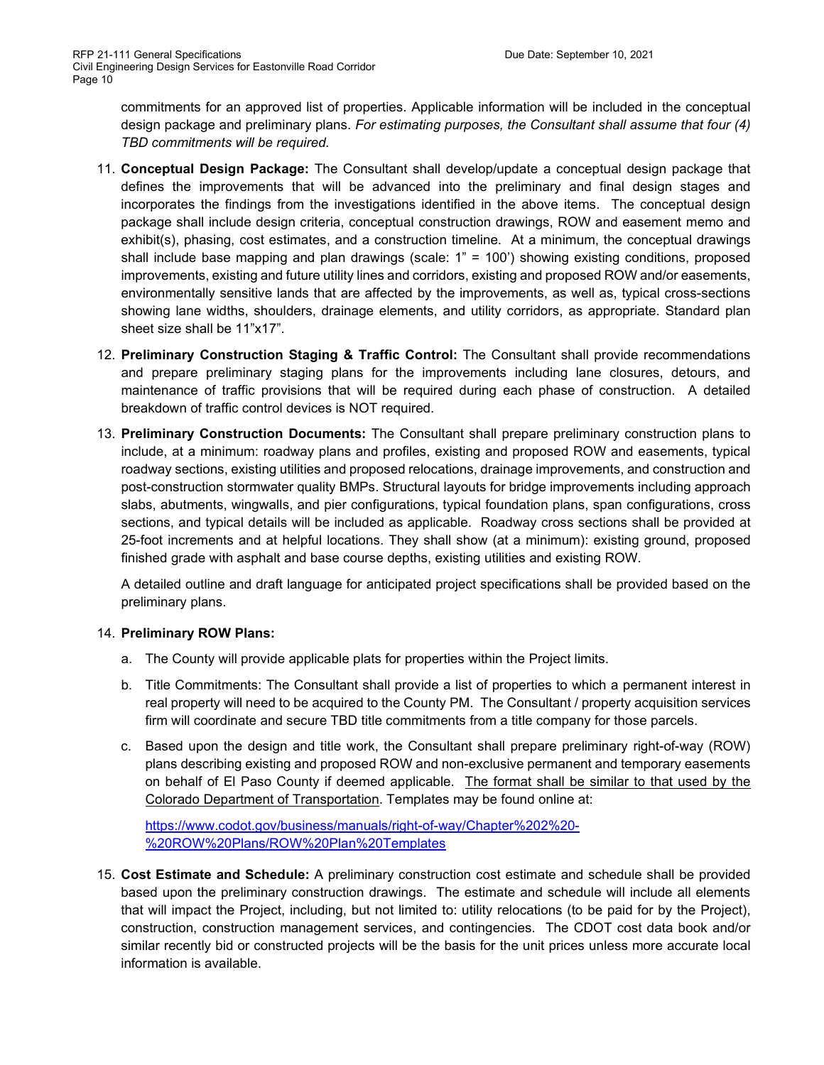commitments for an approved list of properties. Applicable information will be included in the conceptual design package and preliminary plans. *For estimating purposes, the Consultant shall assume that four (4) TBD commitments will be required.*

- 11. **Conceptual Design Package:** The Consultant shall develop/update a conceptual design package that defines the improvements that will be advanced into the preliminary and final design stages and incorporates the findings from the investigations identified in the above items. The conceptual design package shall include design criteria, conceptual construction drawings, ROW and easement memo and exhibit(s), phasing, cost estimates, and a construction timeline. At a minimum, the conceptual drawings shall include base mapping and plan drawings (scale: 1" = 100') showing existing conditions, proposed improvements, existing and future utility lines and corridors, existing and proposed ROW and/or easements, environmentally sensitive lands that are affected by the improvements, as well as, typical cross-sections showing lane widths, shoulders, drainage elements, and utility corridors, as appropriate. Standard plan sheet size shall be 11"x17".
- 12. **Preliminary Construction Staging & Traffic Control:** The Consultant shall provide recommendations and prepare preliminary staging plans for the improvements including lane closures, detours, and maintenance of traffic provisions that will be required during each phase of construction. A detailed breakdown of traffic control devices is NOT required.
- 13. **Preliminary Construction Documents:** The Consultant shall prepare preliminary construction plans to include, at a minimum: roadway plans and profiles, existing and proposed ROW and easements, typical roadway sections, existing utilities and proposed relocations, drainage improvements, and construction and post-construction stormwater quality BMPs. Structural layouts for bridge improvements including approach slabs, abutments, wingwalls, and pier configurations, typical foundation plans, span configurations, cross sections, and typical details will be included as applicable. Roadway cross sections shall be provided at 25-foot increments and at helpful locations. They shall show (at a minimum): existing ground, proposed finished grade with asphalt and base course depths, existing utilities and existing ROW.

A detailed outline and draft language for anticipated project specifications shall be provided based on the preliminary plans.

# 14. **Preliminary ROW Plans:**

- a. The County will provide applicable plats for properties within the Project limits.
- b. Title Commitments: The Consultant shall provide a list of properties to which a permanent interest in real property will need to be acquired to the County PM. The Consultant / property acquisition services firm will coordinate and secure TBD title commitments from a title company for those parcels.
- c. Based upon the design and title work, the Consultant shall prepare preliminary right-of-way (ROW) plans describing existing and proposed ROW and non-exclusive permanent and temporary easements on behalf of El Paso County if deemed applicable. The format shall be similar to that used by the Colorado Department of Transportation. Templates may be found online at:

[https://www.codot.gov/business/manuals/right-of-way/Chapter%202%20-](https://www.codot.gov/business/manuals/right-of-way/Chapter%202%20-%20ROW%20Plans/ROW%20Plan%20Templates) [%20ROW%20Plans/ROW%20Plan%20Templates](https://www.codot.gov/business/manuals/right-of-way/Chapter%202%20-%20ROW%20Plans/ROW%20Plan%20Templates)

15. **Cost Estimate and Schedule:** A preliminary construction cost estimate and schedule shall be provided based upon the preliminary construction drawings. The estimate and schedule will include all elements that will impact the Project, including, but not limited to: utility relocations (to be paid for by the Project), construction, construction management services, and contingencies. The CDOT cost data book and/or similar recently bid or constructed projects will be the basis for the unit prices unless more accurate local information is available.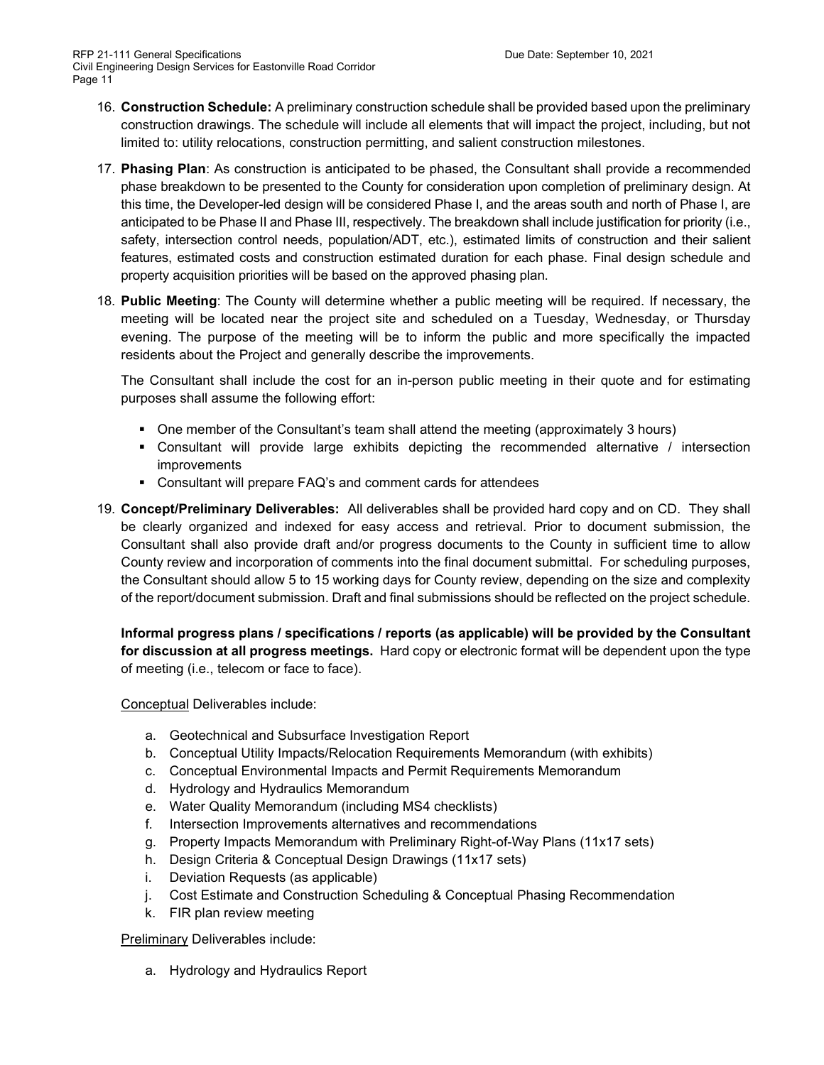- 16. **Construction Schedule:** A preliminary construction schedule shall be provided based upon the preliminary construction drawings. The schedule will include all elements that will impact the project, including, but not limited to: utility relocations, construction permitting, and salient construction milestones.
- 17. **Phasing Plan**: As construction is anticipated to be phased, the Consultant shall provide a recommended phase breakdown to be presented to the County for consideration upon completion of preliminary design. At this time, the Developer-led design will be considered Phase I, and the areas south and north of Phase I, are anticipated to be Phase II and Phase III, respectively. The breakdown shall include justification for priority (i.e., safety, intersection control needs, population/ADT, etc.), estimated limits of construction and their salient features, estimated costs and construction estimated duration for each phase. Final design schedule and property acquisition priorities will be based on the approved phasing plan.
- 18. **Public Meeting**: The County will determine whether a public meeting will be required. If necessary, the meeting will be located near the project site and scheduled on a Tuesday, Wednesday, or Thursday evening. The purpose of the meeting will be to inform the public and more specifically the impacted residents about the Project and generally describe the improvements.

The Consultant shall include the cost for an in-person public meeting in their quote and for estimating purposes shall assume the following effort:

- One member of the Consultant's team shall attend the meeting (approximately 3 hours)
- Consultant will provide large exhibits depicting the recommended alternative / intersection improvements
- Consultant will prepare FAQ's and comment cards for attendees
- 19. **Concept/Preliminary Deliverables:** All deliverables shall be provided hard copy and on CD. They shall be clearly organized and indexed for easy access and retrieval. Prior to document submission, the Consultant shall also provide draft and/or progress documents to the County in sufficient time to allow County review and incorporation of comments into the final document submittal. For scheduling purposes, the Consultant should allow 5 to 15 working days for County review, depending on the size and complexity of the report/document submission. Draft and final submissions should be reflected on the project schedule.

**Informal progress plans / specifications / reports (as applicable) will be provided by the Consultant for discussion at all progress meetings.** Hard copy or electronic format will be dependent upon the type of meeting (i.e., telecom or face to face).

# Conceptual Deliverables include:

- a. Geotechnical and Subsurface Investigation Report
- b. Conceptual Utility Impacts/Relocation Requirements Memorandum (with exhibits)
- c. Conceptual Environmental Impacts and Permit Requirements Memorandum
- d. Hydrology and Hydraulics Memorandum
- e. Water Quality Memorandum (including MS4 checklists)
- f. Intersection Improvements alternatives and recommendations
- g. Property Impacts Memorandum with Preliminary Right-of-Way Plans (11x17 sets)
- h. Design Criteria & Conceptual Design Drawings (11x17 sets)
- i. Deviation Requests (as applicable)
- j. Cost Estimate and Construction Scheduling & Conceptual Phasing Recommendation
- k. FIR plan review meeting

Preliminary Deliverables include:

a. Hydrology and Hydraulics Report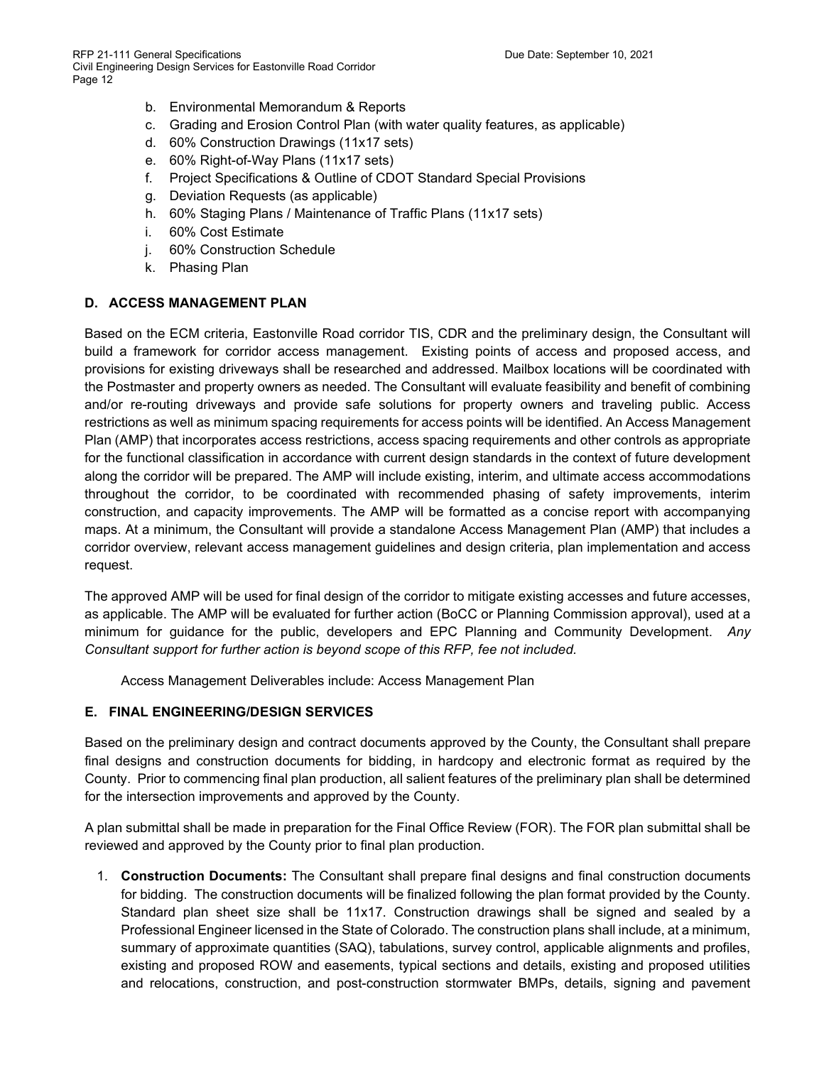- b. Environmental Memorandum & Reports
- c. Grading and Erosion Control Plan (with water quality features, as applicable)
- d. 60% Construction Drawings (11x17 sets)
- e. 60% Right-of-Way Plans (11x17 sets)
- f. Project Specifications & Outline of CDOT Standard Special Provisions
- g. Deviation Requests (as applicable)
- h. 60% Staging Plans / Maintenance of Traffic Plans (11x17 sets)
- i. 60% Cost Estimate
- j. 60% Construction Schedule
- k. Phasing Plan

## **D. ACCESS MANAGEMENT PLAN**

Based on the ECM criteria, Eastonville Road corridor TIS, CDR and the preliminary design, the Consultant will build a framework for corridor access management. Existing points of access and proposed access, and provisions for existing driveways shall be researched and addressed. Mailbox locations will be coordinated with the Postmaster and property owners as needed. The Consultant will evaluate feasibility and benefit of combining and/or re-routing driveways and provide safe solutions for property owners and traveling public. Access restrictions as well as minimum spacing requirements for access points will be identified. An Access Management Plan (AMP) that incorporates access restrictions, access spacing requirements and other controls as appropriate for the functional classification in accordance with current design standards in the context of future development along the corridor will be prepared. The AMP will include existing, interim, and ultimate access accommodations throughout the corridor, to be coordinated with recommended phasing of safety improvements, interim construction, and capacity improvements. The AMP will be formatted as a concise report with accompanying maps. At a minimum, the Consultant will provide a standalone Access Management Plan (AMP) that includes a corridor overview, relevant access management guidelines and design criteria, plan implementation and access request.

The approved AMP will be used for final design of the corridor to mitigate existing accesses and future accesses, as applicable. The AMP will be evaluated for further action (BoCC or Planning Commission approval), used at a minimum for guidance for the public, developers and EPC Planning and Community Development. *Any Consultant support for further action is beyond scope of this RFP, fee not included.*

Access Management Deliverables include: Access Management Plan

### **E. FINAL ENGINEERING/DESIGN SERVICES**

Based on the preliminary design and contract documents approved by the County, the Consultant shall prepare final designs and construction documents for bidding, in hardcopy and electronic format as required by the County. Prior to commencing final plan production, all salient features of the preliminary plan shall be determined for the intersection improvements and approved by the County.

A plan submittal shall be made in preparation for the Final Office Review (FOR). The FOR plan submittal shall be reviewed and approved by the County prior to final plan production.

1. **Construction Documents:** The Consultant shall prepare final designs and final construction documents for bidding. The construction documents will be finalized following the plan format provided by the County. Standard plan sheet size shall be 11x17. Construction drawings shall be signed and sealed by a Professional Engineer licensed in the State of Colorado. The construction plans shall include, at a minimum, summary of approximate quantities (SAQ), tabulations, survey control, applicable alignments and profiles, existing and proposed ROW and easements, typical sections and details, existing and proposed utilities and relocations, construction, and post-construction stormwater BMPs, details, signing and pavement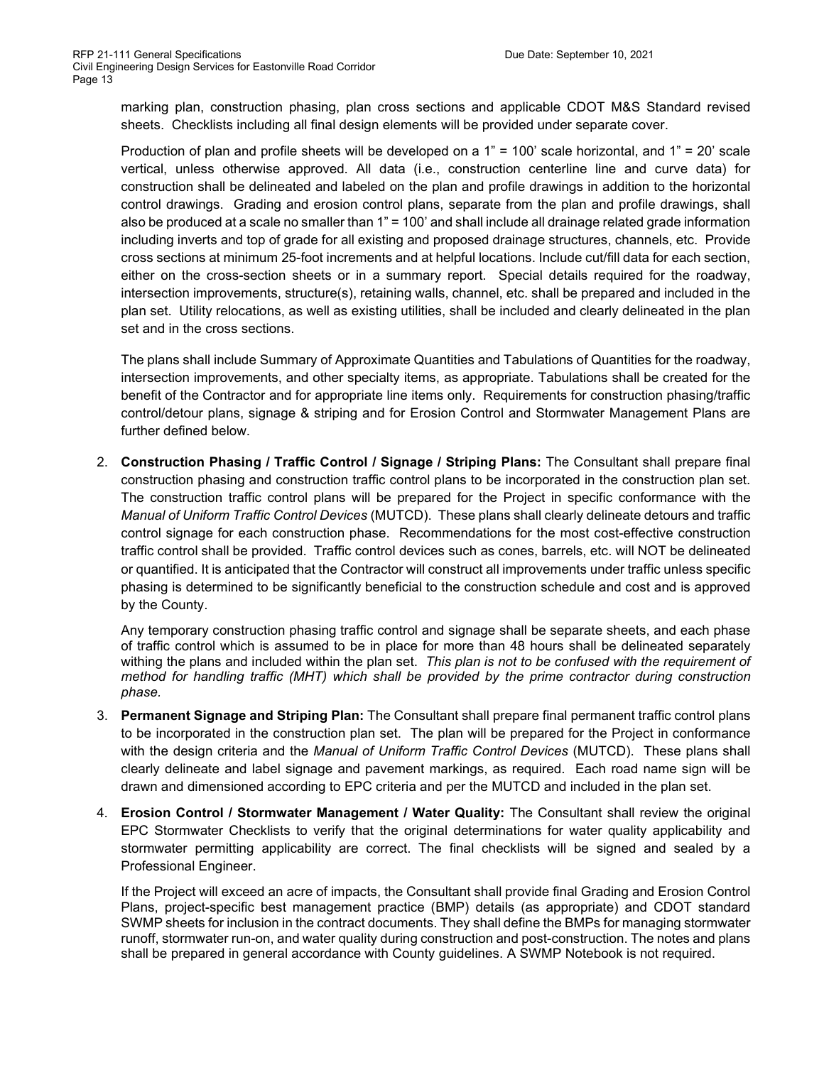marking plan, construction phasing, plan cross sections and applicable CDOT M&S Standard revised sheets. Checklists including all final design elements will be provided under separate cover.

Production of plan and profile sheets will be developed on a 1" = 100' scale horizontal, and 1" = 20' scale vertical, unless otherwise approved. All data (i.e., construction centerline line and curve data) for construction shall be delineated and labeled on the plan and profile drawings in addition to the horizontal control drawings. Grading and erosion control plans, separate from the plan and profile drawings, shall also be produced at a scale no smaller than 1" = 100' and shall include all drainage related grade information including inverts and top of grade for all existing and proposed drainage structures, channels, etc. Provide cross sections at minimum 25-foot increments and at helpful locations. Include cut/fill data for each section, either on the cross-section sheets or in a summary report. Special details required for the roadway, intersection improvements, structure(s), retaining walls, channel, etc. shall be prepared and included in the plan set. Utility relocations, as well as existing utilities, shall be included and clearly delineated in the plan set and in the cross sections.

The plans shall include Summary of Approximate Quantities and Tabulations of Quantities for the roadway, intersection improvements, and other specialty items, as appropriate. Tabulations shall be created for the benefit of the Contractor and for appropriate line items only. Requirements for construction phasing/traffic control/detour plans, signage & striping and for Erosion Control and Stormwater Management Plans are further defined below.

2. **Construction Phasing / Traffic Control / Signage / Striping Plans:** The Consultant shall prepare final construction phasing and construction traffic control plans to be incorporated in the construction plan set. The construction traffic control plans will be prepared for the Project in specific conformance with the *Manual of Uniform Traffic Control Devices* (MUTCD). These plans shall clearly delineate detours and traffic control signage for each construction phase. Recommendations for the most cost-effective construction traffic control shall be provided. Traffic control devices such as cones, barrels, etc. will NOT be delineated or quantified. It is anticipated that the Contractor will construct all improvements under traffic unless specific phasing is determined to be significantly beneficial to the construction schedule and cost and is approved by the County.

Any temporary construction phasing traffic control and signage shall be separate sheets, and each phase of traffic control which is assumed to be in place for more than 48 hours shall be delineated separately withing the plans and included within the plan set. *This plan is not to be confused with the requirement of method for handling traffic (MHT) which shall be provided by the prime contractor during construction phase.*

- 3. **Permanent Signage and Striping Plan:** The Consultant shall prepare final permanent traffic control plans to be incorporated in the construction plan set. The plan will be prepared for the Project in conformance with the design criteria and the *Manual of Uniform Traffic Control Devices* (MUTCD). These plans shall clearly delineate and label signage and pavement markings, as required. Each road name sign will be drawn and dimensioned according to EPC criteria and per the MUTCD and included in the plan set.
- 4. **Erosion Control / Stormwater Management / Water Quality:** The Consultant shall review the original EPC Stormwater Checklists to verify that the original determinations for water quality applicability and stormwater permitting applicability are correct. The final checklists will be signed and sealed by a Professional Engineer.

If the Project will exceed an acre of impacts, the Consultant shall provide final Grading and Erosion Control Plans, project-specific best management practice (BMP) details (as appropriate) and CDOT standard SWMP sheets for inclusion in the contract documents. They shall define the BMPs for managing stormwater runoff, stormwater run-on, and water quality during construction and post-construction. The notes and plans shall be prepared in general accordance with County guidelines. A SWMP Notebook is not required.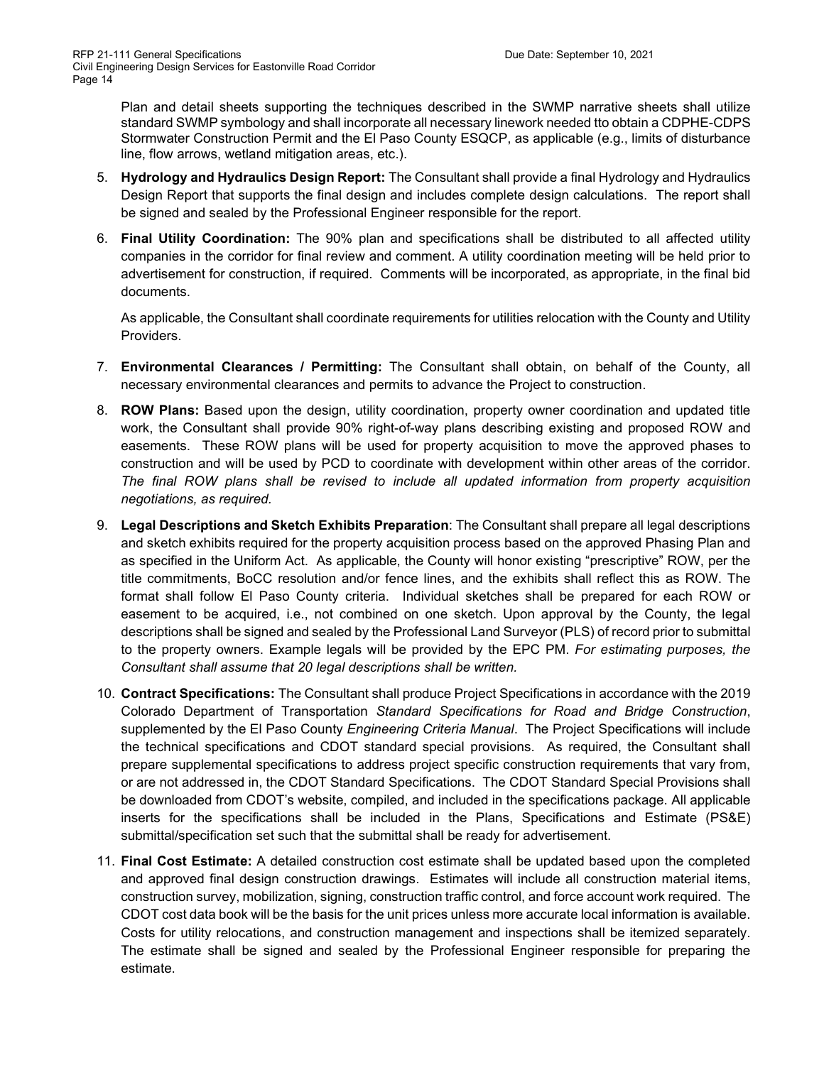Plan and detail sheets supporting the techniques described in the SWMP narrative sheets shall utilize standard SWMP symbology and shall incorporate all necessary linework needed tto obtain a CDPHE-CDPS Stormwater Construction Permit and the El Paso County ESQCP, as applicable (e.g., limits of disturbance line, flow arrows, wetland mitigation areas, etc.).

- 5. **Hydrology and Hydraulics Design Report:** The Consultant shall provide a final Hydrology and Hydraulics Design Report that supports the final design and includes complete design calculations. The report shall be signed and sealed by the Professional Engineer responsible for the report.
- 6. **Final Utility Coordination:** The 90% plan and specifications shall be distributed to all affected utility companies in the corridor for final review and comment. A utility coordination meeting will be held prior to advertisement for construction, if required. Comments will be incorporated, as appropriate, in the final bid documents.

As applicable, the Consultant shall coordinate requirements for utilities relocation with the County and Utility Providers.

- 7. **Environmental Clearances / Permitting:** The Consultant shall obtain, on behalf of the County, all necessary environmental clearances and permits to advance the Project to construction.
- 8. **ROW Plans:** Based upon the design, utility coordination, property owner coordination and updated title work, the Consultant shall provide 90% right-of-way plans describing existing and proposed ROW and easements. These ROW plans will be used for property acquisition to move the approved phases to construction and will be used by PCD to coordinate with development within other areas of the corridor. *The final ROW plans shall be revised to include all updated information from property acquisition negotiations, as required.*
- 9. **Legal Descriptions and Sketch Exhibits Preparation**: The Consultant shall prepare all legal descriptions and sketch exhibits required for the property acquisition process based on the approved Phasing Plan and as specified in the Uniform Act. As applicable, the County will honor existing "prescriptive" ROW, per the title commitments, BoCC resolution and/or fence lines, and the exhibits shall reflect this as ROW. The format shall follow El Paso County criteria. Individual sketches shall be prepared for each ROW or easement to be acquired, i.e., not combined on one sketch. Upon approval by the County, the legal descriptions shall be signed and sealed by the Professional Land Surveyor (PLS) of record prior to submittal to the property owners. Example legals will be provided by the EPC PM. *For estimating purposes, the Consultant shall assume that 20 legal descriptions shall be written.*
- 10. **Contract Specifications:** The Consultant shall produce Project Specifications in accordance with the 2019 Colorado Department of Transportation *Standard Specifications for Road and Bridge Construction*, supplemented by the El Paso County *Engineering Criteria Manual*. The Project Specifications will include the technical specifications and CDOT standard special provisions. As required, the Consultant shall prepare supplemental specifications to address project specific construction requirements that vary from, or are not addressed in, the CDOT Standard Specifications. The CDOT Standard Special Provisions shall be downloaded from CDOT's website, compiled, and included in the specifications package. All applicable inserts for the specifications shall be included in the Plans, Specifications and Estimate (PS&E) submittal/specification set such that the submittal shall be ready for advertisement.
- 11. **Final Cost Estimate:** A detailed construction cost estimate shall be updated based upon the completed and approved final design construction drawings. Estimates will include all construction material items, construction survey, mobilization, signing, construction traffic control, and force account work required. The CDOT cost data book will be the basis for the unit prices unless more accurate local information is available. Costs for utility relocations, and construction management and inspections shall be itemized separately. The estimate shall be signed and sealed by the Professional Engineer responsible for preparing the estimate.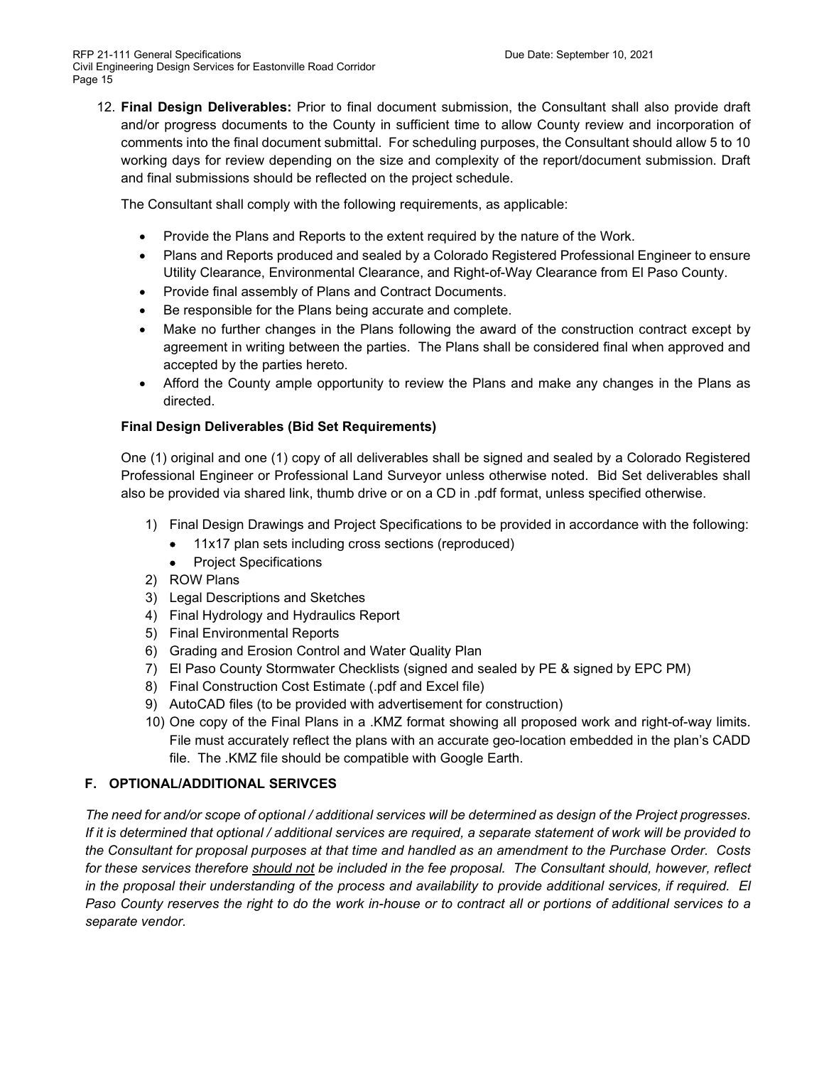12. **Final Design Deliverables:** Prior to final document submission, the Consultant shall also provide draft and/or progress documents to the County in sufficient time to allow County review and incorporation of comments into the final document submittal. For scheduling purposes, the Consultant should allow 5 to 10 working days for review depending on the size and complexity of the report/document submission. Draft and final submissions should be reflected on the project schedule.

The Consultant shall comply with the following requirements, as applicable:

- Provide the Plans and Reports to the extent required by the nature of the Work.
- Plans and Reports produced and sealed by a Colorado Registered Professional Engineer to ensure Utility Clearance, Environmental Clearance, and Right-of-Way Clearance from El Paso County.
- Provide final assembly of Plans and Contract Documents.
- Be responsible for the Plans being accurate and complete.
- Make no further changes in the Plans following the award of the construction contract except by agreement in writing between the parties. The Plans shall be considered final when approved and accepted by the parties hereto.
- Afford the County ample opportunity to review the Plans and make any changes in the Plans as directed.

# **Final Design Deliverables (Bid Set Requirements)**

One (1) original and one (1) copy of all deliverables shall be signed and sealed by a Colorado Registered Professional Engineer or Professional Land Surveyor unless otherwise noted. Bid Set deliverables shall also be provided via shared link, thumb drive or on a CD in .pdf format, unless specified otherwise.

- 1) Final Design Drawings and Project Specifications to be provided in accordance with the following:
	- 11x17 plan sets including cross sections (reproduced)
	- Project Specifications
- 2) ROW Plans
- 3) Legal Descriptions and Sketches
- 4) Final Hydrology and Hydraulics Report
- 5) Final Environmental Reports
- 6) Grading and Erosion Control and Water Quality Plan
- 7) El Paso County Stormwater Checklists (signed and sealed by PE & signed by EPC PM)
- 8) Final Construction Cost Estimate (.pdf and Excel file)
- 9) AutoCAD files (to be provided with advertisement for construction)
- 10) One copy of the Final Plans in a .KMZ format showing all proposed work and right-of-way limits. File must accurately reflect the plans with an accurate geo-location embedded in the plan's CADD file. The .KMZ file should be compatible with Google Earth.

# **F. OPTIONAL/ADDITIONAL SERIVCES**

*The need for and/or scope of optional / additional services will be determined as design of the Project progresses. If it is determined that optional / additional services are required, a separate statement of work will be provided to the Consultant for proposal purposes at that time and handled as an amendment to the Purchase Order. Costs for these services therefore should not be included in the fee proposal. The Consultant should, however, reflect*  in the proposal their understanding of the process and availability to provide additional services, if required. El *Paso County reserves the right to do the work in-house or to contract all or portions of additional services to a separate vendor.*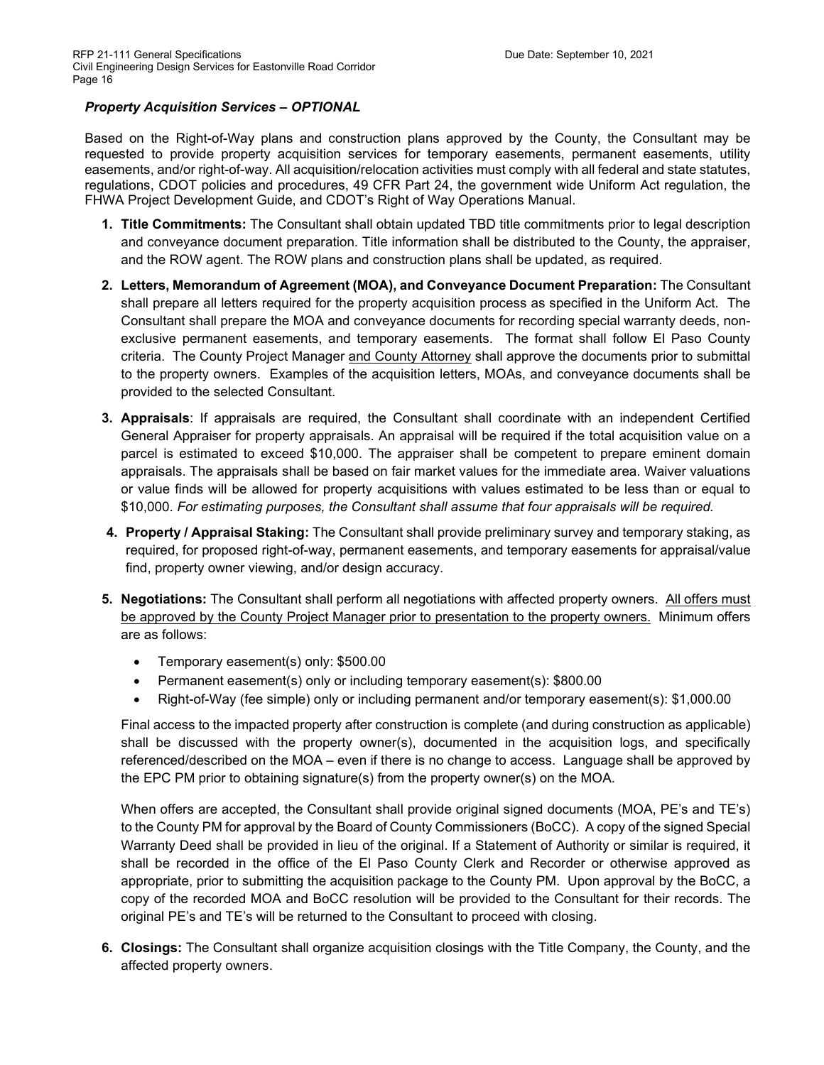## *Property Acquisition Services – OPTIONAL*

Based on the Right-of-Way plans and construction plans approved by the County, the Consultant may be requested to provide property acquisition services for temporary easements, permanent easements, utility easements, and/or right-of-way. All acquisition/relocation activities must comply with all federal and state statutes, regulations, CDOT policies and procedures, 49 CFR Part 24, the government wide Uniform Act regulation, the FHWA Project Development Guide, and CDOT's Right of Way Operations Manual.

- **1. Title Commitments:** The Consultant shall obtain updated TBD title commitments prior to legal description and conveyance document preparation. Title information shall be distributed to the County, the appraiser, and the ROW agent. The ROW plans and construction plans shall be updated, as required.
- **2. Letters, Memorandum of Agreement (MOA), and Conveyance Document Preparation:** The Consultant shall prepare all letters required for the property acquisition process as specified in the Uniform Act. The Consultant shall prepare the MOA and conveyance documents for recording special warranty deeds, nonexclusive permanent easements, and temporary easements. The format shall follow El Paso County criteria. The County Project Manager and County Attorney shall approve the documents prior to submittal to the property owners. Examples of the acquisition letters, MOAs, and conveyance documents shall be provided to the selected Consultant.
- **3. Appraisals**: If appraisals are required, the Consultant shall coordinate with an independent Certified General Appraiser for property appraisals. An appraisal will be required if the total acquisition value on a parcel is estimated to exceed \$10,000. The appraiser shall be competent to prepare eminent domain appraisals. The appraisals shall be based on fair market values for the immediate area. Waiver valuations or value finds will be allowed for property acquisitions with values estimated to be less than or equal to \$10,000. *For estimating purposes, the Consultant shall assume that four appraisals will be required.*
- **4. Property / Appraisal Staking:** The Consultant shall provide preliminary survey and temporary staking, as required, for proposed right-of-way, permanent easements, and temporary easements for appraisal/value find, property owner viewing, and/or design accuracy.
- **5. Negotiations:** The Consultant shall perform all negotiations with affected property owners. All offers must be approved by the County Project Manager prior to presentation to the property owners. Minimum offers are as follows:
	- Temporary easement(s) only: \$500.00
	- Permanent easement(s) only or including temporary easement(s): \$800.00
	- Right-of-Way (fee simple) only or including permanent and/or temporary easement(s): \$1,000.00

Final access to the impacted property after construction is complete (and during construction as applicable) shall be discussed with the property owner(s), documented in the acquisition logs, and specifically referenced/described on the MOA – even if there is no change to access. Language shall be approved by the EPC PM prior to obtaining signature(s) from the property owner(s) on the MOA.

When offers are accepted, the Consultant shall provide original signed documents (MOA, PE's and TE's) to the County PM for approval by the Board of County Commissioners (BoCC). A copy of the signed Special Warranty Deed shall be provided in lieu of the original. If a Statement of Authority or similar is required, it shall be recorded in the office of the El Paso County Clerk and Recorder or otherwise approved as appropriate, prior to submitting the acquisition package to the County PM. Upon approval by the BoCC, a copy of the recorded MOA and BoCC resolution will be provided to the Consultant for their records. The original PE's and TE's will be returned to the Consultant to proceed with closing.

**6. Closings:** The Consultant shall organize acquisition closings with the Title Company, the County, and the affected property owners.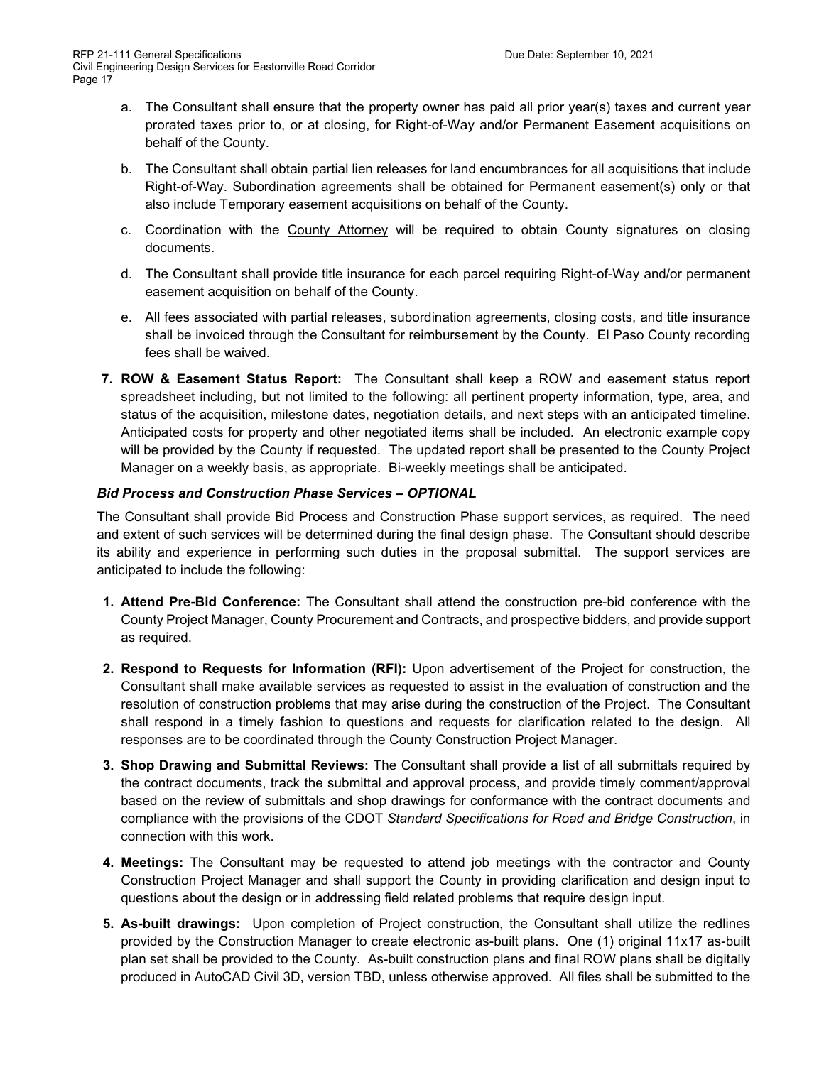- a. The Consultant shall ensure that the property owner has paid all prior year(s) taxes and current year prorated taxes prior to, or at closing, for Right-of-Way and/or Permanent Easement acquisitions on behalf of the County.
- b. The Consultant shall obtain partial lien releases for land encumbrances for all acquisitions that include Right-of-Way. Subordination agreements shall be obtained for Permanent easement(s) only or that also include Temporary easement acquisitions on behalf of the County.
- c. Coordination with the County Attorney will be required to obtain County signatures on closing documents.
- d. The Consultant shall provide title insurance for each parcel requiring Right-of-Way and/or permanent easement acquisition on behalf of the County.
- e. All fees associated with partial releases, subordination agreements, closing costs, and title insurance shall be invoiced through the Consultant for reimbursement by the County. El Paso County recording fees shall be waived.
- **7. ROW & Easement Status Report:** The Consultant shall keep a ROW and easement status report spreadsheet including, but not limited to the following: all pertinent property information, type, area, and status of the acquisition, milestone dates, negotiation details, and next steps with an anticipated timeline. Anticipated costs for property and other negotiated items shall be included. An electronic example copy will be provided by the County if requested. The updated report shall be presented to the County Project Manager on a weekly basis, as appropriate. Bi-weekly meetings shall be anticipated.

## *Bid Process and Construction Phase Services – OPTIONAL*

The Consultant shall provide Bid Process and Construction Phase support services, as required. The need and extent of such services will be determined during the final design phase. The Consultant should describe its ability and experience in performing such duties in the proposal submittal. The support services are anticipated to include the following:

- **1. Attend Pre-Bid Conference:** The Consultant shall attend the construction pre-bid conference with the County Project Manager, County Procurement and Contracts, and prospective bidders, and provide support as required.
- **2. Respond to Requests for Information (RFI):** Upon advertisement of the Project for construction, the Consultant shall make available services as requested to assist in the evaluation of construction and the resolution of construction problems that may arise during the construction of the Project. The Consultant shall respond in a timely fashion to questions and requests for clarification related to the design. All responses are to be coordinated through the County Construction Project Manager.
- **3. Shop Drawing and Submittal Reviews:** The Consultant shall provide a list of all submittals required by the contract documents, track the submittal and approval process, and provide timely comment/approval based on the review of submittals and shop drawings for conformance with the contract documents and compliance with the provisions of the CDOT *Standard Specifications for Road and Bridge Construction*, in connection with this work.
- **4. Meetings:** The Consultant may be requested to attend job meetings with the contractor and County Construction Project Manager and shall support the County in providing clarification and design input to questions about the design or in addressing field related problems that require design input.
- **5. As-built drawings:** Upon completion of Project construction, the Consultant shall utilize the redlines provided by the Construction Manager to create electronic as-built plans. One (1) original 11x17 as-built plan set shall be provided to the County. As-built construction plans and final ROW plans shall be digitally produced in AutoCAD Civil 3D, version TBD, unless otherwise approved. All files shall be submitted to the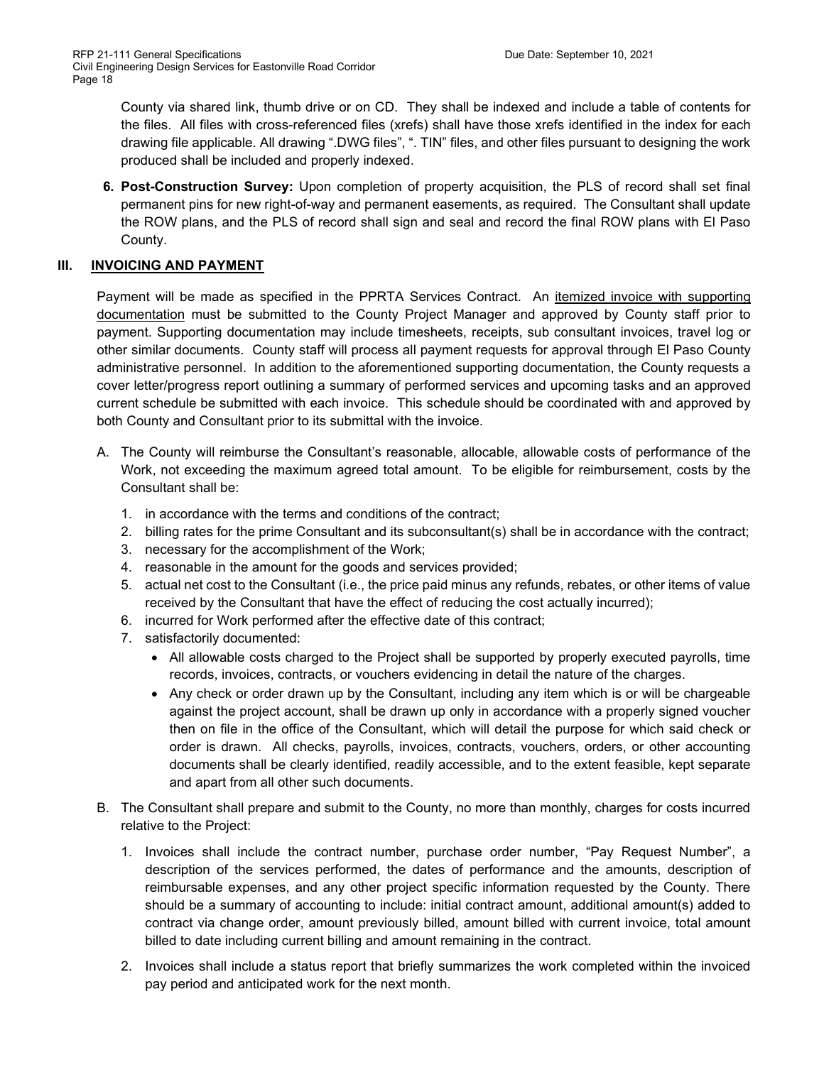County via shared link, thumb drive or on CD. They shall be indexed and include a table of contents for the files. All files with cross-referenced files (xrefs) shall have those xrefs identified in the index for each drawing file applicable. All drawing ".DWG files", ". TIN" files, and other files pursuant to designing the work produced shall be included and properly indexed.

**6. Post-Construction Survey:** Upon completion of property acquisition, the PLS of record shall set final permanent pins for new right-of-way and permanent easements, as required. The Consultant shall update the ROW plans, and the PLS of record shall sign and seal and record the final ROW plans with El Paso County.

# **III. INVOICING AND PAYMENT**

Payment will be made as specified in the PPRTA Services Contract. An itemized invoice with supporting documentation must be submitted to the County Project Manager and approved by County staff prior to payment. Supporting documentation may include timesheets, receipts, sub consultant invoices, travel log or other similar documents. County staff will process all payment requests for approval through El Paso County administrative personnel. In addition to the aforementioned supporting documentation, the County requests a cover letter/progress report outlining a summary of performed services and upcoming tasks and an approved current schedule be submitted with each invoice. This schedule should be coordinated with and approved by both County and Consultant prior to its submittal with the invoice.

- A. The County will reimburse the Consultant's reasonable, allocable, allowable costs of performance of the Work, not exceeding the maximum agreed total amount. To be eligible for reimbursement, costs by the Consultant shall be:
	- 1. in accordance with the terms and conditions of the contract;
	- 2. billing rates for the prime Consultant and its subconsultant(s) shall be in accordance with the contract;
	- 3. necessary for the accomplishment of the Work;
	- 4. reasonable in the amount for the goods and services provided;
	- 5. actual net cost to the Consultant (i.e., the price paid minus any refunds, rebates, or other items of value received by the Consultant that have the effect of reducing the cost actually incurred);
	- 6. incurred for Work performed after the effective date of this contract;
	- 7. satisfactorily documented:
		- All allowable costs charged to the Project shall be supported by properly executed payrolls, time records, invoices, contracts, or vouchers evidencing in detail the nature of the charges.
		- Any check or order drawn up by the Consultant, including any item which is or will be chargeable against the project account, shall be drawn up only in accordance with a properly signed voucher then on file in the office of the Consultant, which will detail the purpose for which said check or order is drawn. All checks, payrolls, invoices, contracts, vouchers, orders, or other accounting documents shall be clearly identified, readily accessible, and to the extent feasible, kept separate and apart from all other such documents.
- B. The Consultant shall prepare and submit to the County, no more than monthly, charges for costs incurred relative to the Project:
	- 1. Invoices shall include the contract number, purchase order number, "Pay Request Number", a description of the services performed, the dates of performance and the amounts, description of reimbursable expenses, and any other project specific information requested by the County. There should be a summary of accounting to include: initial contract amount, additional amount(s) added to contract via change order, amount previously billed, amount billed with current invoice, total amount billed to date including current billing and amount remaining in the contract.
	- 2. Invoices shall include a status report that briefly summarizes the work completed within the invoiced pay period and anticipated work for the next month.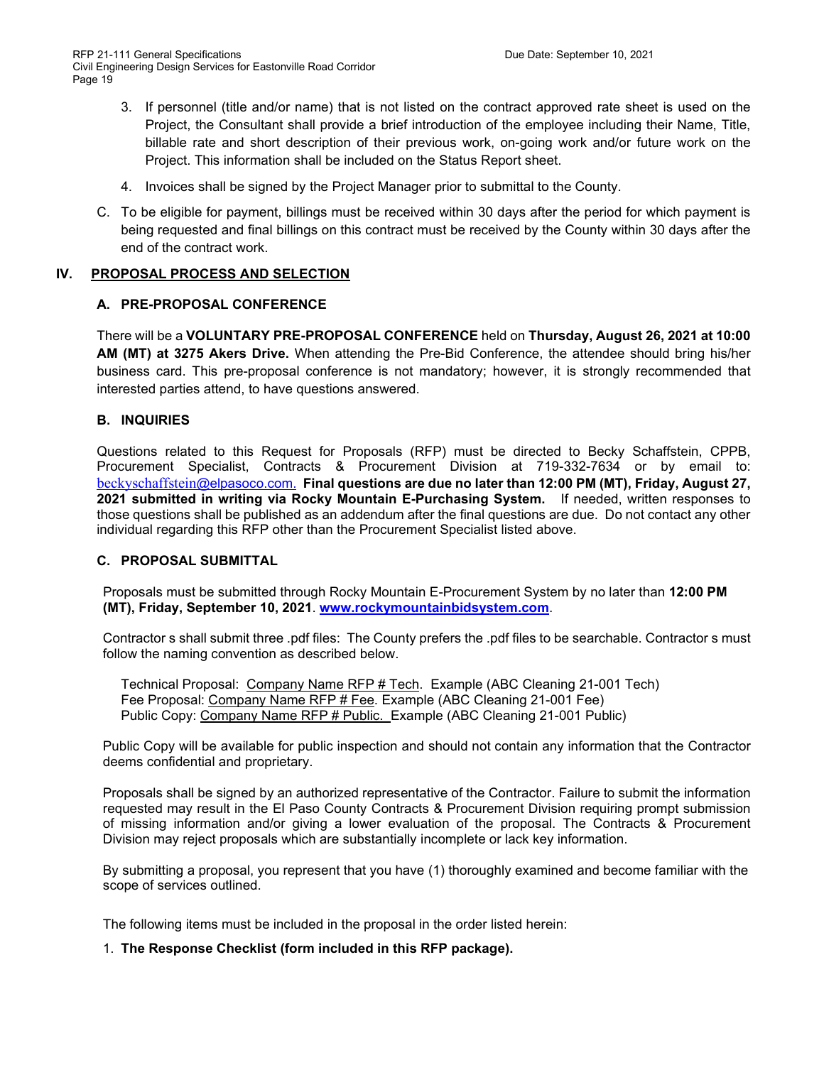- 3. If personnel (title and/or name) that is not listed on the contract approved rate sheet is used on the Project, the Consultant shall provide a brief introduction of the employee including their Name, Title, billable rate and short description of their previous work, on-going work and/or future work on the Project. This information shall be included on the Status Report sheet.
- 4. Invoices shall be signed by the Project Manager prior to submittal to the County.
- C. To be eligible for payment, billings must be received within 30 days after the period for which payment is being requested and final billings on this contract must be received by the County within 30 days after the end of the contract work.

## **IV. PROPOSAL PROCESS AND SELECTION**

### **A. PRE-PROPOSAL CONFERENCE**

There will be a **VOLUNTARY PRE-PROPOSAL CONFERENCE** held on **Thursday, August 26, 2021 at 10:00 AM (MT) at 3275 Akers Drive.** When attending the Pre-Bid Conference, the attendee should bring his/her business card. This pre-proposal conference is not mandatory; however, it is strongly recommended that interested parties attend, to have questions answered.

## **B. INQUIRIES**

Questions related to this Request for Proposals (RFP) must be directed to Becky Schaffstein, CPPB, Procurement Specialist, Contracts & Procurement Division at 719-332-7634 or by email to: [beckyschaffstein](mailto:beckyschaffstein@elpasoco.com)[@elpasoco.com.](mailto:beckyschaffstein@elpasoco.com) **Final questions are due no later than 12:00 PM (MT), Friday, August 27, 2021 submitted in writing via Rocky Mountain E-Purchasing System.** If needed, written responses to those questions shall be published as an addendum after the final questions are due. Do not contact any other individual regarding this RFP other than the Procurement Specialist listed above.

### **C. PROPOSAL SUBMITTAL**

Proposals must be submitted through Rocky Mountain E-Procurement System by no later than **12:00 PM (MT), Friday, September 10, 2021**. **[www.rockymountainbidsystem.com](http://www.rockymountainbidsystem.com/)**.

Contractor s shall submit three .pdf files: The County prefers the .pdf files to be searchable. Contractor s must follow the naming convention as described below.

Technical Proposal: Company Name RFP # Tech. Example (ABC Cleaning 21-001 Tech) Fee Proposal: Company Name RFP # Fee. Example (ABC Cleaning 21-001 Fee) Public Copy: Company Name RFP # Public. Example (ABC Cleaning 21-001 Public)

Public Copy will be available for public inspection and should not contain any information that the Contractor deems confidential and proprietary.

Proposals shall be signed by an authorized representative of the Contractor. Failure to submit the information requested may result in the El Paso County Contracts & Procurement Division requiring prompt submission of missing information and/or giving a lower evaluation of the proposal. The Contracts & Procurement Division may reject proposals which are substantially incomplete or lack key information.

By submitting a proposal, you represent that you have (1) thoroughly examined and become familiar with the scope of services outlined.

The following items must be included in the proposal in the order listed herein:

1. **The Response Checklist (form included in this RFP package).**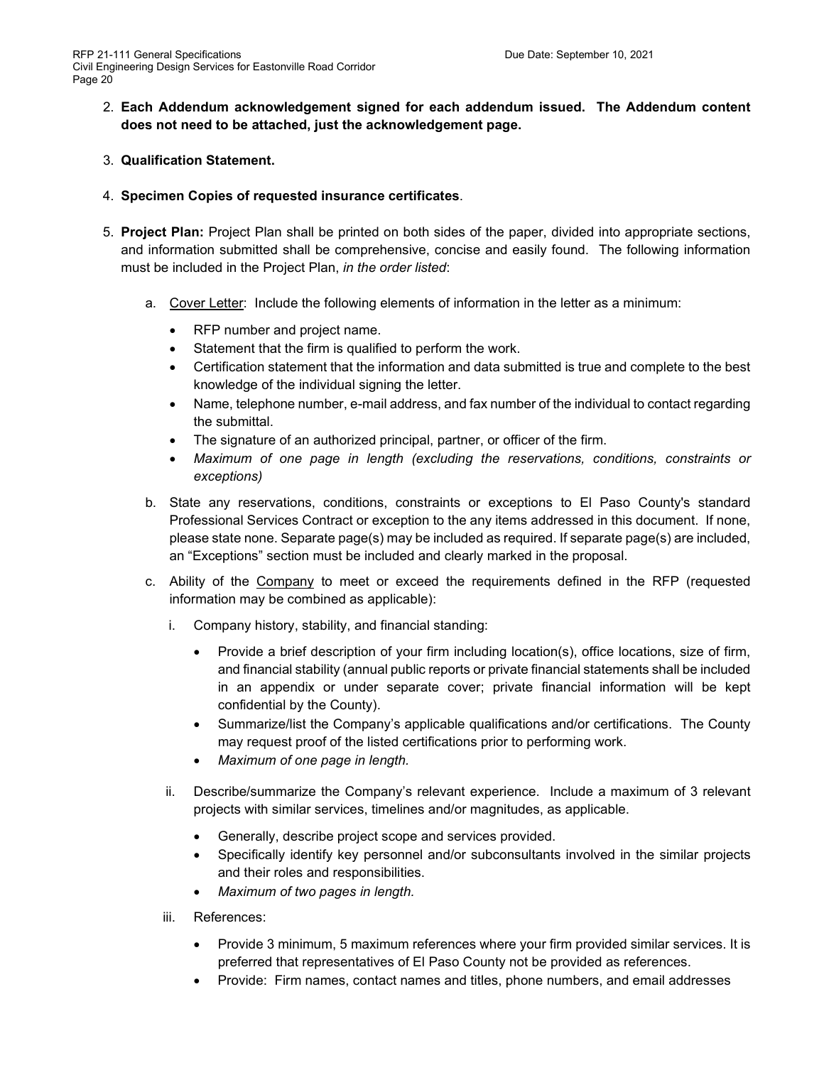- 2. **Each Addendum acknowledgement signed for each addendum issued. The Addendum content does not need to be attached, just the acknowledgement page.**
- 3. **Qualification Statement.**
- 4. **Specimen Copies of requested insurance certificates**.
- 5. **Project Plan:** Project Plan shall be printed on both sides of the paper, divided into appropriate sections, and information submitted shall be comprehensive, concise and easily found. The following information must be included in the Project Plan, *in the order listed*:
	- a. Cover Letter: Include the following elements of information in the letter as a minimum:
		- RFP number and project name.
		- Statement that the firm is qualified to perform the work.
		- Certification statement that the information and data submitted is true and complete to the best knowledge of the individual signing the letter.
		- Name, telephone number, e-mail address, and fax number of the individual to contact regarding the submittal.
		- The signature of an authorized principal, partner, or officer of the firm.
		- *Maximum of one page in length (excluding the reservations, conditions, constraints or exceptions)*
	- b. State any reservations, conditions, constraints or exceptions to El Paso County's standard Professional Services Contract or exception to the any items addressed in this document. If none, please state none. Separate page(s) may be included as required. If separate page(s) are included, an "Exceptions" section must be included and clearly marked in the proposal.
	- c. Ability of the Company to meet or exceed the requirements defined in the RFP (requested information may be combined as applicable):
		- i. Company history, stability, and financial standing:
			- Provide a brief description of your firm including location(s), office locations, size of firm, and financial stability (annual public reports or private financial statements shall be included in an appendix or under separate cover; private financial information will be kept confidential by the County).
			- Summarize/list the Company's applicable qualifications and/or certifications. The County may request proof of the listed certifications prior to performing work.
			- *Maximum of one page in length.*
		- ii. Describe/summarize the Company's relevant experience. Include a maximum of 3 relevant projects with similar services, timelines and/or magnitudes, as applicable.
			- Generally, describe project scope and services provided.
			- Specifically identify key personnel and/or subconsultants involved in the similar projects and their roles and responsibilities.
			- *Maximum of two pages in length.*
		- iii. References:
			- Provide 3 minimum, 5 maximum references where your firm provided similar services. It is preferred that representatives of El Paso County not be provided as references.
			- Provide: Firm names, contact names and titles, phone numbers, and email addresses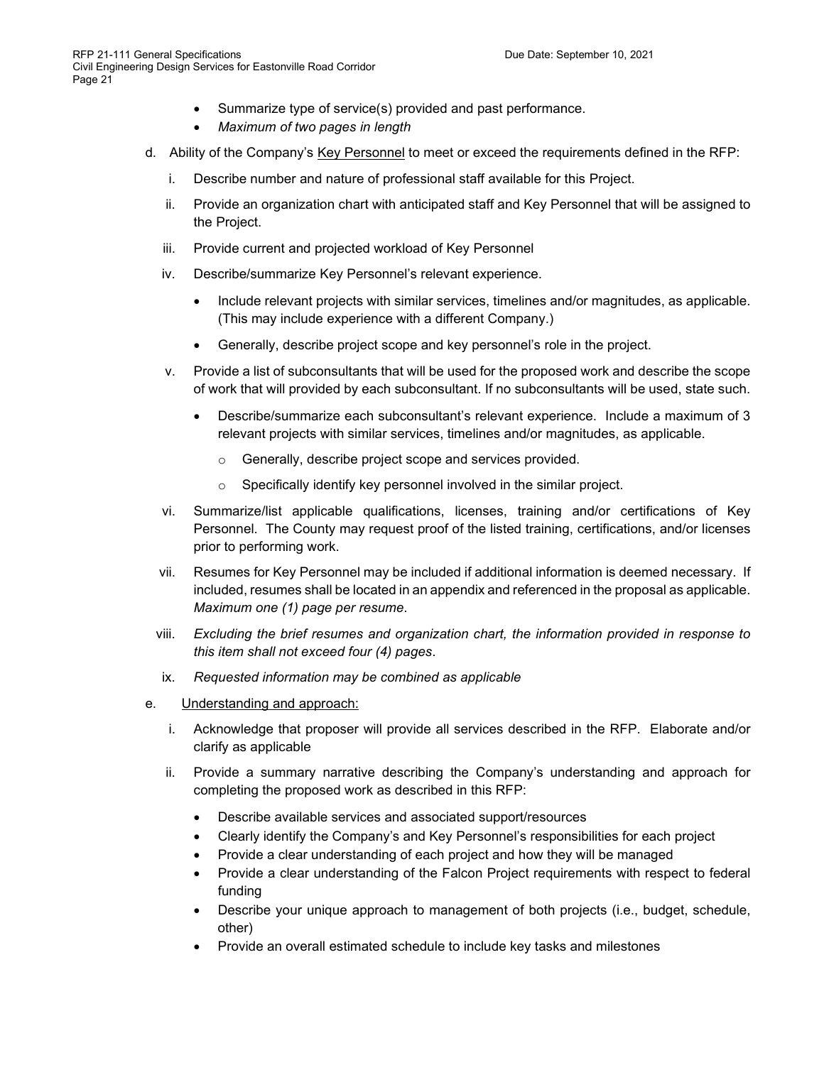- Summarize type of service(s) provided and past performance.
- *Maximum of two pages in length*
- d. Ability of the Company's Key Personnel to meet or exceed the requirements defined in the RFP:
	- i. Describe number and nature of professional staff available for this Project.
	- ii. Provide an organization chart with anticipated staff and Key Personnel that will be assigned to the Project.
	- iii. Provide current and projected workload of Key Personnel
	- iv. Describe/summarize Key Personnel's relevant experience.
		- Include relevant projects with similar services, timelines and/or magnitudes, as applicable. (This may include experience with a different Company.)
		- Generally, describe project scope and key personnel's role in the project.
	- v. Provide a list of subconsultants that will be used for the proposed work and describe the scope of work that will provided by each subconsultant. If no subconsultants will be used, state such.
		- Describe/summarize each subconsultant's relevant experience. Include a maximum of 3 relevant projects with similar services, timelines and/or magnitudes, as applicable.
			- o Generally, describe project scope and services provided.
			- o Specifically identify key personnel involved in the similar project.
	- vi. Summarize/list applicable qualifications, licenses, training and/or certifications of Key Personnel. The County may request proof of the listed training, certifications, and/or licenses prior to performing work.
	- vii. Resumes for Key Personnel may be included if additional information is deemed necessary. If included, resumes shall be located in an appendix and referenced in the proposal as applicable. *Maximum one (1) page per resume*.
	- viii. *Excluding the brief resumes and organization chart, the information provided in response to this item shall not exceed four (4) pages*.
	- ix. *Requested information may be combined as applicable*
- e. Understanding and approach:
	- i. Acknowledge that proposer will provide all services described in the RFP. Elaborate and/or clarify as applicable
	- ii. Provide a summary narrative describing the Company's understanding and approach for completing the proposed work as described in this RFP:
		- Describe available services and associated support/resources
		- Clearly identify the Company's and Key Personnel's responsibilities for each project
		- Provide a clear understanding of each project and how they will be managed
		- Provide a clear understanding of the Falcon Project requirements with respect to federal funding
		- Describe your unique approach to management of both projects (i.e., budget, schedule, other)
		- Provide an overall estimated schedule to include key tasks and milestones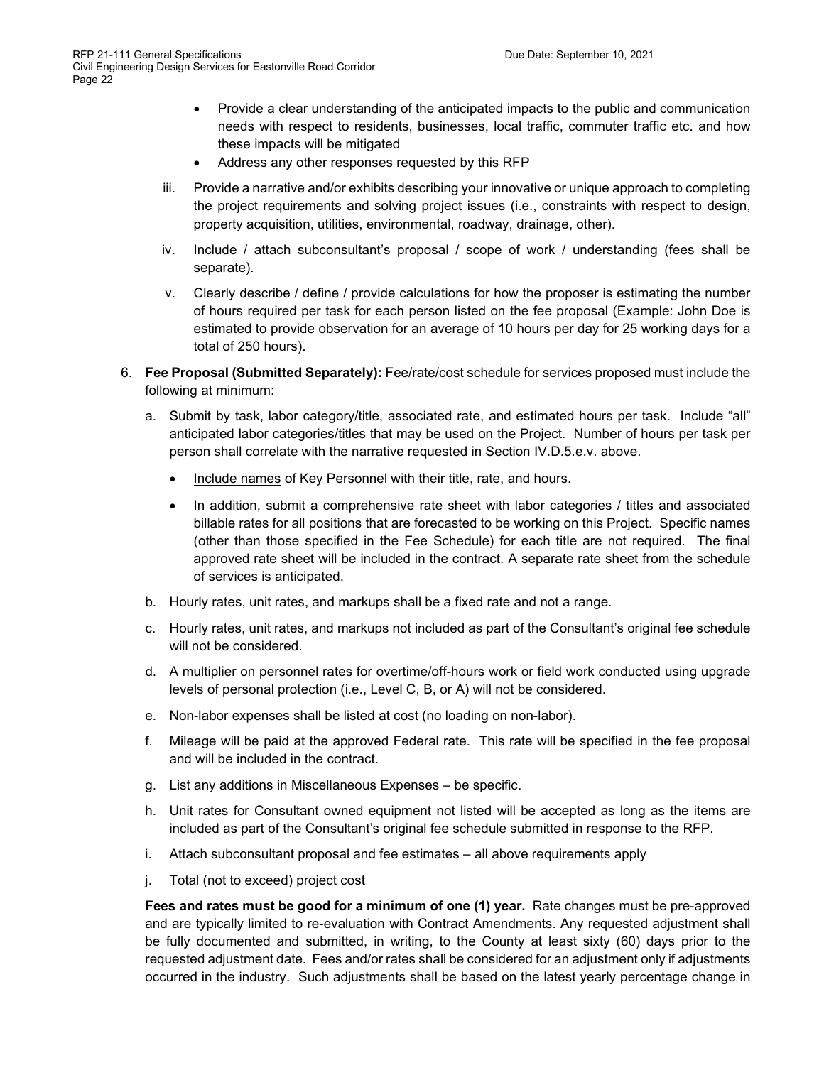- Provide a clear understanding of the anticipated impacts to the public and communication needs with respect to residents, businesses, local traffic, commuter traffic etc. and how these impacts will be mitigated
- Address any other responses requested by this RFP
- iii. Provide a narrative and/or exhibits describing your innovative or unique approach to completing the project requirements and solving project issues (i.e., constraints with respect to design, property acquisition, utilities, environmental, roadway, drainage, other).
- iv. Include / attach subconsultant's proposal / scope of work / understanding (fees shall be separate).
- v. Clearly describe / define / provide calculations for how the proposer is estimating the number of hours required per task for each person listed on the fee proposal (Example: John Doe is estimated to provide observation for an average of 10 hours per day for 25 working days for a total of 250 hours).
- 6. **Fee Proposal (Submitted Separately):** Fee/rate/cost schedule for services proposed must include the following at minimum:
	- a. Submit by task, labor category/title, associated rate, and estimated hours per task. Include "all" anticipated labor categories/titles that may be used on the Project. Number of hours per task per person shall correlate with the narrative requested in Section IV.D.5.e.v. above.
		- Include names of Key Personnel with their title, rate, and hours.
		- In addition, submit a comprehensive rate sheet with labor categories / titles and associated billable rates for all positions that are forecasted to be working on this Project. Specific names (other than those specified in the Fee Schedule) for each title are not required. The final approved rate sheet will be included in the contract. A separate rate sheet from the schedule of services is anticipated.
	- b. Hourly rates, unit rates, and markups shall be a fixed rate and not a range.
	- c. Hourly rates, unit rates, and markups not included as part of the Consultant's original fee schedule will not be considered.
	- d. A multiplier on personnel rates for overtime/off-hours work or field work conducted using upgrade levels of personal protection (i.e., Level C, B, or A) will not be considered.
	- e. Non-labor expenses shall be listed at cost (no loading on non-labor).
	- f. Mileage will be paid at the approved Federal rate. This rate will be specified in the fee proposal and will be included in the contract.
	- g. List any additions in Miscellaneous Expenses be specific.
	- h. Unit rates for Consultant owned equipment not listed will be accepted as long as the items are included as part of the Consultant's original fee schedule submitted in response to the RFP.
	- i. Attach subconsultant proposal and fee estimates all above requirements apply
	- j. Total (not to exceed) project cost

**Fees and rates must be good for a minimum of one (1) year.** Rate changes must be pre-approved and are typically limited to re-evaluation with Contract Amendments. Any requested adjustment shall be fully documented and submitted, in writing, to the County at least sixty (60) days prior to the requested adjustment date. Fees and/or rates shall be considered for an adjustment only if adjustments occurred in the industry. Such adjustments shall be based on the latest yearly percentage change in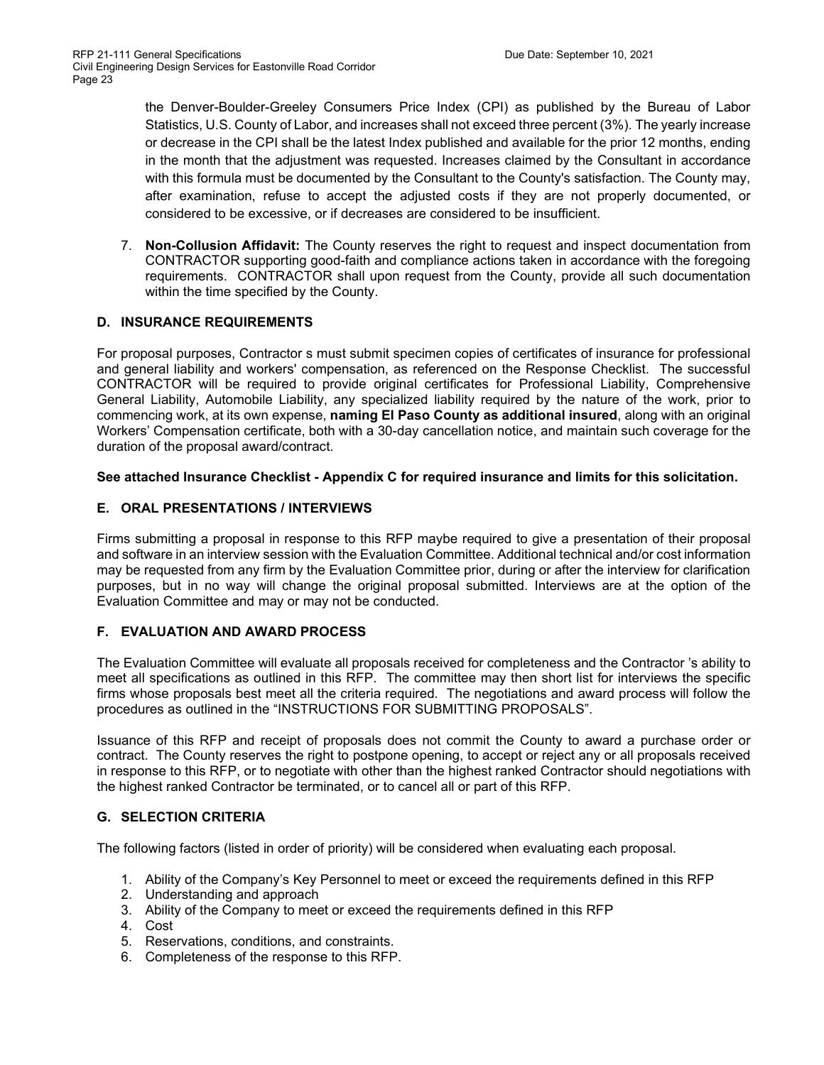the Denver-Boulder-Greeley Consumers Price Index (CPI) as published by the Bureau of Labor Statistics, U.S. County of Labor, and increases shall not exceed three percent (3%). The yearly increase or decrease in the CPI shall be the latest Index published and available for the prior 12 months, ending in the month that the adjustment was requested. Increases claimed by the Consultant in accordance with this formula must be documented by the Consultant to the County's satisfaction. The County may, after examination, refuse to accept the adjusted costs if they are not properly documented, or considered to be excessive, or if decreases are considered to be insufficient.

7. **Non-Collusion Affidavit:** The County reserves the right to request and inspect documentation from CONTRACTOR supporting good-faith and compliance actions taken in accordance with the foregoing requirements. CONTRACTOR shall upon request from the County, provide all such documentation within the time specified by the County.

## **D. INSURANCE REQUIREMENTS**

For proposal purposes, Contractor s must submit specimen copies of certificates of insurance for professional and general liability and workers' compensation, as referenced on the Response Checklist. The successful CONTRACTOR will be required to provide original certificates for Professional Liability, Comprehensive General Liability, Automobile Liability, any specialized liability required by the nature of the work, prior to commencing work, at its own expense, **naming El Paso County as additional insured**, along with an original Workers' Compensation certificate, both with a 30-day cancellation notice, and maintain such coverage for the duration of the proposal award/contract.

### **See attached Insurance Checklist - Appendix C for required insurance and limits for this solicitation.**

## **E. ORAL PRESENTATIONS / INTERVIEWS**

Firms submitting a proposal in response to this RFP maybe required to give a presentation of their proposal and software in an interview session with the Evaluation Committee. Additional technical and/or cost information may be requested from any firm by the Evaluation Committee prior, during or after the interview for clarification purposes, but in no way will change the original proposal submitted. Interviews are at the option of the Evaluation Committee and may or may not be conducted.

# **F. EVALUATION AND AWARD PROCESS**

The Evaluation Committee will evaluate all proposals received for completeness and the Contractor 's ability to meet all specifications as outlined in this RFP. The committee may then short list for interviews the specific firms whose proposals best meet all the criteria required. The negotiations and award process will follow the procedures as outlined in the "INSTRUCTIONS FOR SUBMITTING PROPOSALS".

Issuance of this RFP and receipt of proposals does not commit the County to award a purchase order or contract. The County reserves the right to postpone opening, to accept or reject any or all proposals received in response to this RFP, or to negotiate with other than the highest ranked Contractor should negotiations with the highest ranked Contractor be terminated, or to cancel all or part of this RFP.

# **G. SELECTION CRITERIA**

The following factors (listed in order of priority) will be considered when evaluating each proposal.

- 1. Ability of the Company's Key Personnel to meet or exceed the requirements defined in this RFP
- 2. Understanding and approach
- 3. Ability of the Company to meet or exceed the requirements defined in this RFP
- 4. Cost
- 5. Reservations, conditions, and constraints.
- 6. Completeness of the response to this RFP.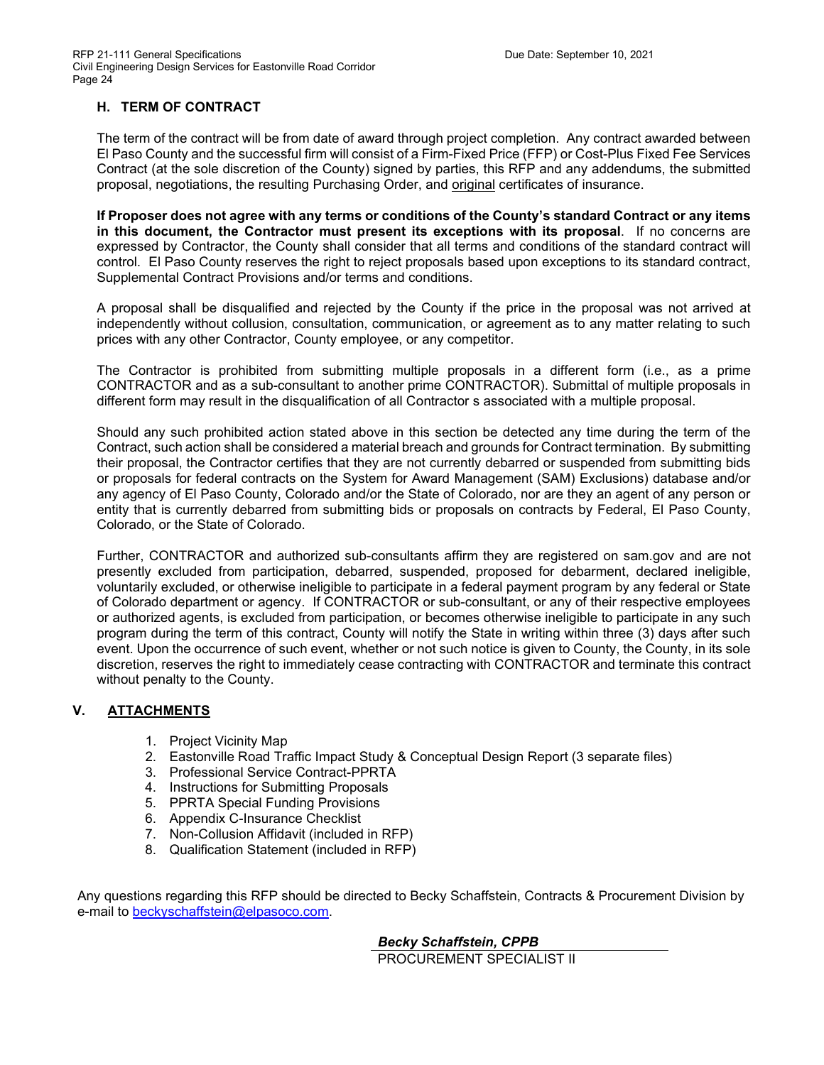# **H. TERM OF CONTRACT**

The term of the contract will be from date of award through project completion. Any contract awarded between El Paso County and the successful firm will consist of a Firm-Fixed Price (FFP) or Cost-Plus Fixed Fee Services Contract (at the sole discretion of the County) signed by parties, this RFP and any addendums, the submitted proposal, negotiations, the resulting Purchasing Order, and original certificates of insurance.

**If Proposer does not agree with any terms or conditions of the County's standard Contract or any items in this document, the Contractor must present its exceptions with its proposal**. If no concerns are expressed by Contractor, the County shall consider that all terms and conditions of the standard contract will control. El Paso County reserves the right to reject proposals based upon exceptions to its standard contract, Supplemental Contract Provisions and/or terms and conditions.

A proposal shall be disqualified and rejected by the County if the price in the proposal was not arrived at independently without collusion, consultation, communication, or agreement as to any matter relating to such prices with any other Contractor, County employee, or any competitor.

The Contractor is prohibited from submitting multiple proposals in a different form (i.e., as a prime CONTRACTOR and as a sub-consultant to another prime CONTRACTOR). Submittal of multiple proposals in different form may result in the disqualification of all Contractor s associated with a multiple proposal.

Should any such prohibited action stated above in this section be detected any time during the term of the Contract, such action shall be considered a material breach and grounds for Contract termination. By submitting their proposal, the Contractor certifies that they are not currently debarred or suspended from submitting bids or proposals for federal contracts on the System for Award Management (SAM) Exclusions) database and/or any agency of El Paso County, Colorado and/or the State of Colorado, nor are they an agent of any person or entity that is currently debarred from submitting bids or proposals on contracts by Federal, El Paso County, Colorado, or the State of Colorado.

Further, CONTRACTOR and authorized sub-consultants affirm they are registered on sam.gov and are not presently excluded from participation, debarred, suspended, proposed for debarment, declared ineligible, voluntarily excluded, or otherwise ineligible to participate in a federal payment program by any federal or State of Colorado department or agency. If CONTRACTOR or sub-consultant, or any of their respective employees or authorized agents, is excluded from participation, or becomes otherwise ineligible to participate in any such program during the term of this contract, County will notify the State in writing within three (3) days after such event. Upon the occurrence of such event, whether or not such notice is given to County, the County, in its sole discretion, reserves the right to immediately cease contracting with CONTRACTOR and terminate this contract without penalty to the County.

# **V. ATTACHMENTS**

- 1. Project Vicinity Map
- 2. Eastonville Road Traffic Impact Study & Conceptual Design Report (3 separate files)
- 3. Professional Service Contract-PPRTA
- 4. Instructions for Submitting Proposals
- 5. PPRTA Special Funding Provisions
- 6. Appendix C-Insurance Checklist
- 7. Non-Collusion Affidavit (included in RFP)
- 8. Qualification Statement (included in RFP)

Any questions regarding this RFP should be directed to Becky Schaffstein, Contracts & Procurement Division by e-mail to [beckyschaffstein@elpasoco.com.](mailto:beckyschaffstein@elpasoco.com)

> *Becky Schaffstein, CPPB* PROCUREMENT SPECIALIST II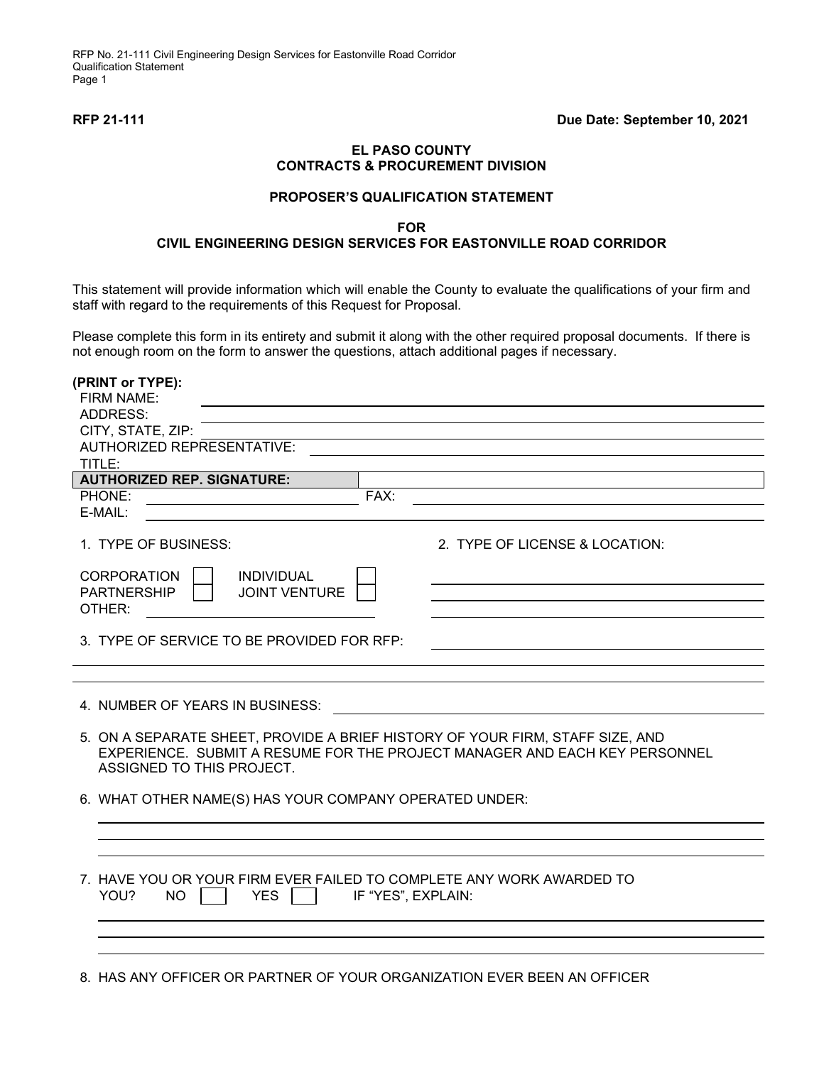RFP No. 21-111 Civil Engineering Design Services for Eastonville Road Corridor Qualification Statement Page 1

### **EL PASO COUNTY CONTRACTS & PROCUREMENT DIVISION**

#### **PROPOSER'S QUALIFICATION STATEMENT**

#### **FOR**

## **CIVIL ENGINEERING DESIGN SERVICES FOR EASTONVILLE ROAD CORRIDOR**

This statement will provide information which will enable the County to evaluate the qualifications of your firm and staff with regard to the requirements of this Request for Proposal.

Please complete this form in its entirety and submit it along with the other required proposal documents. If there is not enough room on the form to answer the questions, attach additional pages if necessary.

| (PRINT or TYPE):<br><b>FIRM NAME:</b>                                                                                   |                                |
|-------------------------------------------------------------------------------------------------------------------------|--------------------------------|
| ADDRESS:                                                                                                                |                                |
| CITY, STATE, ZIP:                                                                                                       |                                |
| AUTHORIZED REPRESENTATIVE:                                                                                              |                                |
| TITLE:                                                                                                                  |                                |
| <b>AUTHORIZED REP. SIGNATURE:</b>                                                                                       |                                |
| FAX:<br>PHONE:                                                                                                          |                                |
| E-MAIL:                                                                                                                 |                                |
| 1. TYPE OF BUSINESS:                                                                                                    | 2. TYPE OF LICENSE & LOCATION: |
| <b>CORPORATION</b><br><b>INDIVIDUAL</b>                                                                                 |                                |
| <b>PARTNERSHIP</b><br><b>JOINT VENTURE</b>                                                                              |                                |
| OTHER:                                                                                                                  |                                |
|                                                                                                                         |                                |
| 3. TYPE OF SERVICE TO BE PROVIDED FOR RFP:                                                                              |                                |
|                                                                                                                         |                                |
|                                                                                                                         |                                |
| 4. NUMBER OF YEARS IN BUSINESS:                                                                                         |                                |
| 5. ON A SEPARATE SHEET, PROVIDE A BRIEF HISTORY OF YOUR FIRM, STAFF SIZE, AND                                           |                                |
| EXPERIENCE. SUBMIT A RESUME FOR THE PROJECT MANAGER AND EACH KEY PERSONNEL<br>ASSIGNED TO THIS PROJECT.                 |                                |
| 6. WHAT OTHER NAME(S) HAS YOUR COMPANY OPERATED UNDER:                                                                  |                                |
|                                                                                                                         |                                |
|                                                                                                                         |                                |
|                                                                                                                         |                                |
|                                                                                                                         |                                |
| 7. HAVE YOU OR YOUR FIRM EVER FAILED TO COMPLETE ANY WORK AWARDED TO<br>YOU?<br>NO.<br><b>YES</b><br>IF "YES", EXPLAIN: |                                |
|                                                                                                                         |                                |
|                                                                                                                         |                                |
|                                                                                                                         |                                |
|                                                                                                                         |                                |

8. HAS ANY OFFICER OR PARTNER OF YOUR ORGANIZATION EVER BEEN AN OFFICER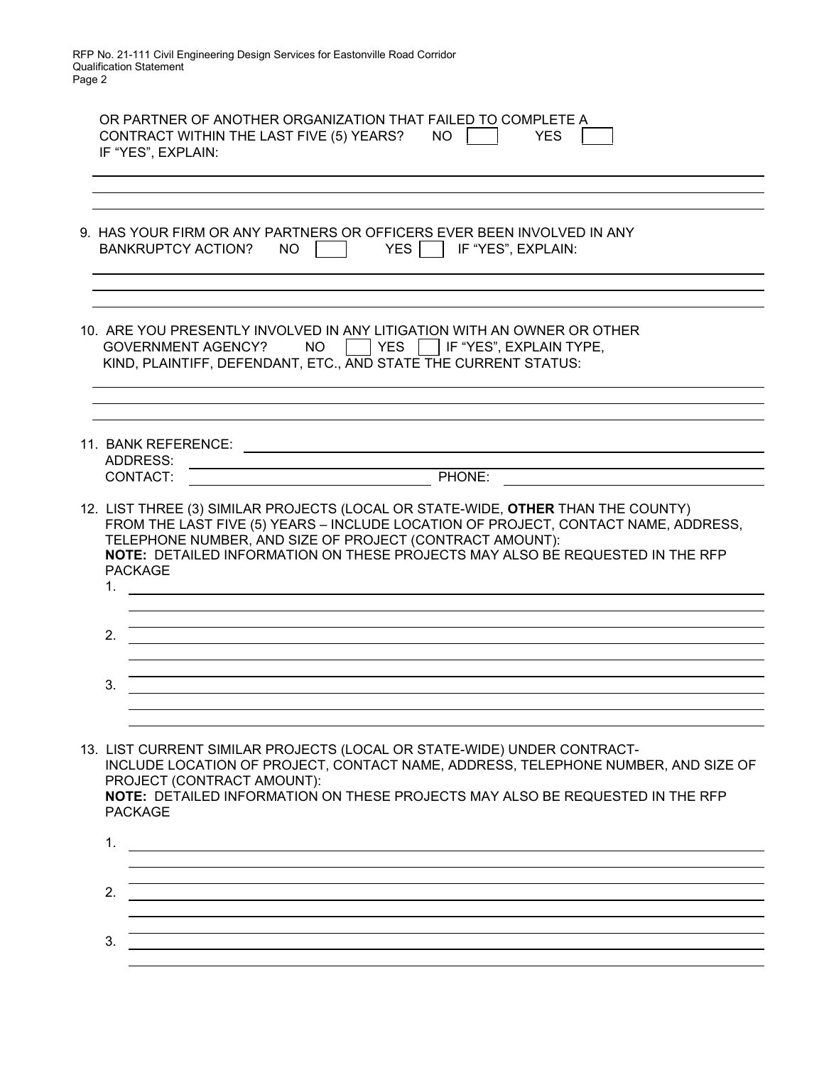RFP No. 21-111 Civil Engineering Design Services for Eastonville Road Corridor Qualification Statement Page 2

| OR PARTNER OF ANOTHER ORGANIZATION THAT FAILED TO COMPLETE A<br>CONTRACT WITHIN THE LAST FIVE (5) YEARS?<br><b>NO</b><br><b>YES</b><br>IF "YES", EXPLAIN:                                                                                                                                                                                                                                                                                                                                                                                                                                                                                                                                                                 |
|---------------------------------------------------------------------------------------------------------------------------------------------------------------------------------------------------------------------------------------------------------------------------------------------------------------------------------------------------------------------------------------------------------------------------------------------------------------------------------------------------------------------------------------------------------------------------------------------------------------------------------------------------------------------------------------------------------------------------|
| 9. HAS YOUR FIRM OR ANY PARTNERS OR OFFICERS EVER BEEN INVOLVED IN ANY<br><b>YES</b><br>IF "YES", EXPLAIN:<br><b>BANKRUPTCY ACTION?</b><br><b>NO</b>                                                                                                                                                                                                                                                                                                                                                                                                                                                                                                                                                                      |
| 10. ARE YOU PRESENTLY INVOLVED IN ANY LITIGATION WITH AN OWNER OR OTHER<br><b>NO</b><br><b>YES</b><br>IF "YES", EXPLAIN TYPE,<br>GOVERNMENT AGENCY?<br>KIND, PLAINTIFF, DEFENDANT, ETC., AND STATE THE CURRENT STATUS:                                                                                                                                                                                                                                                                                                                                                                                                                                                                                                    |
| 11. BANK REFERENCE:<br>ADDRESS:<br>PHONE:<br>CONTACT:                                                                                                                                                                                                                                                                                                                                                                                                                                                                                                                                                                                                                                                                     |
| 12. LIST THREE (3) SIMILAR PROJECTS (LOCAL OR STATE-WIDE, OTHER THAN THE COUNTY)<br>FROM THE LAST FIVE (5) YEARS - INCLUDE LOCATION OF PROJECT, CONTACT NAME, ADDRESS,<br>TELEPHONE NUMBER, AND SIZE OF PROJECT (CONTRACT AMOUNT):<br>NOTE: DETAILED INFORMATION ON THESE PROJECTS MAY ALSO BE REQUESTED IN THE RFP<br><b>PACKAGE</b><br>1.<br>2.<br>3.                                                                                                                                                                                                                                                                                                                                                                   |
| 13. LIST CURRENT SIMILAR PROJECTS (LOCAL OR STATE-WIDE) UNDER CONTRACT-<br>INCLUDE LOCATION OF PROJECT, CONTACT NAME, ADDRESS, TELEPHONE NUMBER, AND SIZE OF<br>PROJECT (CONTRACT AMOUNT):<br>NOTE: DETAILED INFORMATION ON THESE PROJECTS MAY ALSO BE REQUESTED IN THE RFP<br><b>PACKAGE</b><br>1.<br><u> 1989 - Johann Stoff, deutscher Stoffen und der Stoffen und der Stoffen und der Stoffen und der Stoffen und der Stoffen und der Stoffen und der Stoffen und der Stoffen und der Stoffen und der Stoffen und der Stoffen und d</u><br>,我们也不会有什么。""我们的人,我们也不会有什么?""我们的人,我们也不会有什么?""我们的人,我们也不会有什么?""我们的人,我们也不会有什么?""我们的人<br>2.<br>,我们也不会有什么。""我们的人,我们也不会有什么?""我们的人,我们也不会有什么?""我们的人,我们也不会有什么?""我们的人,我们也不会有什么?""我们的人 |
| ,我们也不会有什么。""我们的人,我们也不会有什么?""我们的人,我们也不会有什么?""我们的人,我们也不会有什么?""我们的人,我们也不会有什么?""我们的人<br>,我们也不会有什么。""我们的人,我们也不会有什么?""我们的人,我们也不会有什么?""我们的人,我们也不会有什么?""我们的人,我们也不会有什么?""我们的人<br>3.                                                                                                                                                                                                                                                                                                                                                                                                                                                                                                                                                |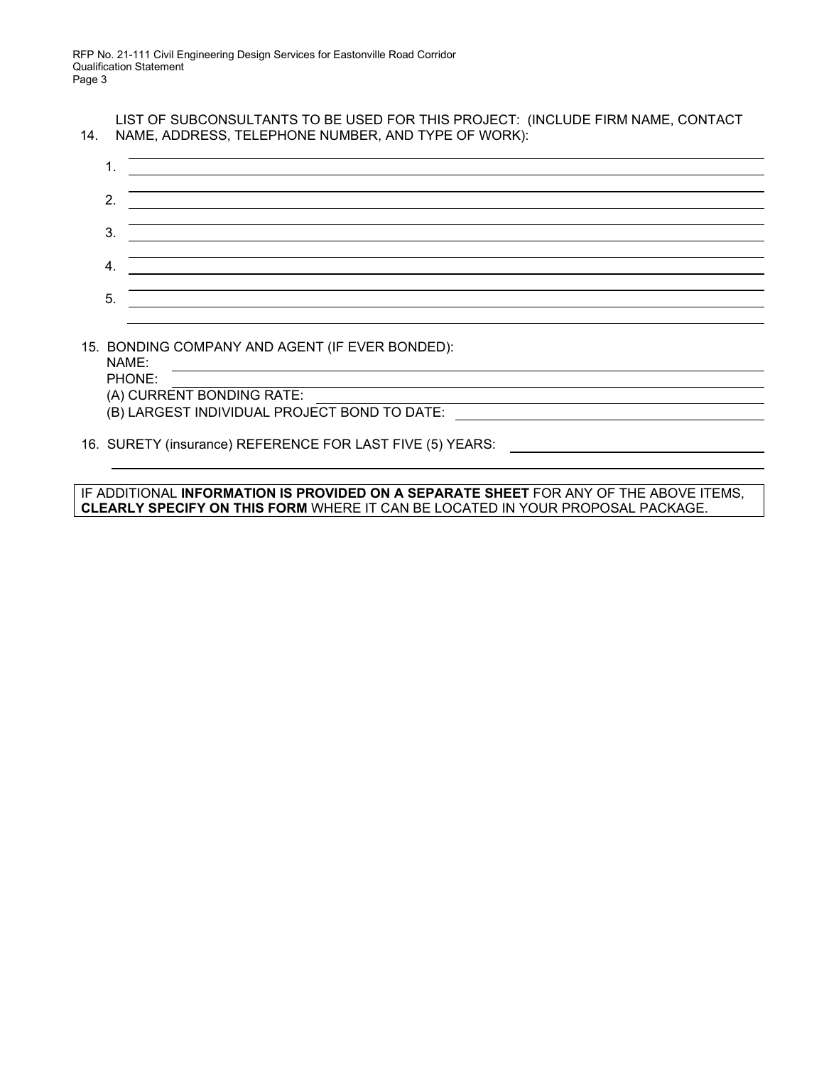| LIST OF SUBCONSULTANTS TO BE USED FOR THIS PROJECT: (INCLUDE FIRM NAME, CONTACT |
|---------------------------------------------------------------------------------|
| 14. NAME, ADDRESS, TELEPHONE NUMBER, AND TYPE OF WORK):                         |

| 2. |  |
|----|--|
| 3. |  |
|    |  |
| 5. |  |
|    |  |

## 15. BONDING COMPANY AND AGENT (IF EVER BONDED):

NAME:

PHONE: (A) CURRENT BONDING RATE:

(B) LARGEST INDIVIDUAL PROJECT BOND TO DATE:

16. SURETY (insurance) REFERENCE FOR LAST FIVE (5) YEARS:

IF ADDITIONAL **INFORMATION IS PROVIDED ON A SEPARATE SHEET** FOR ANY OF THE ABOVE ITEMS, **CLEARLY SPECIFY ON THIS FORM** WHERE IT CAN BE LOCATED IN YOUR PROPOSAL PACKAGE.